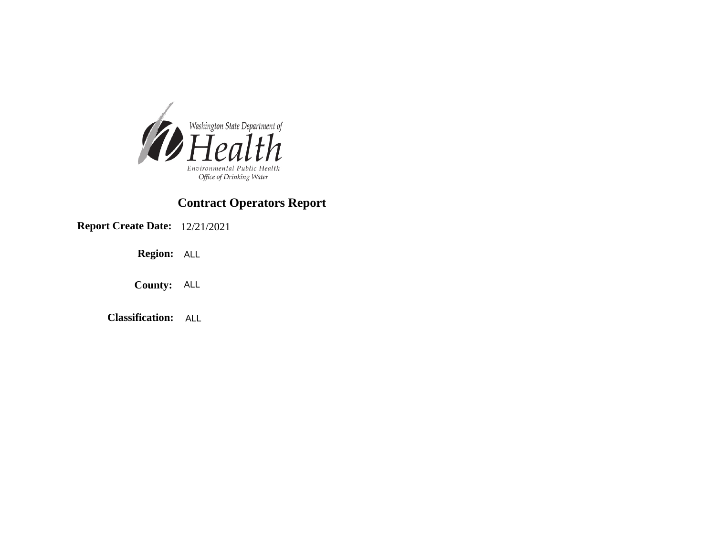

**Report Create Date:** 12/21/2021

**Region:** ALL

**County:** ALL

**Classification:** ALL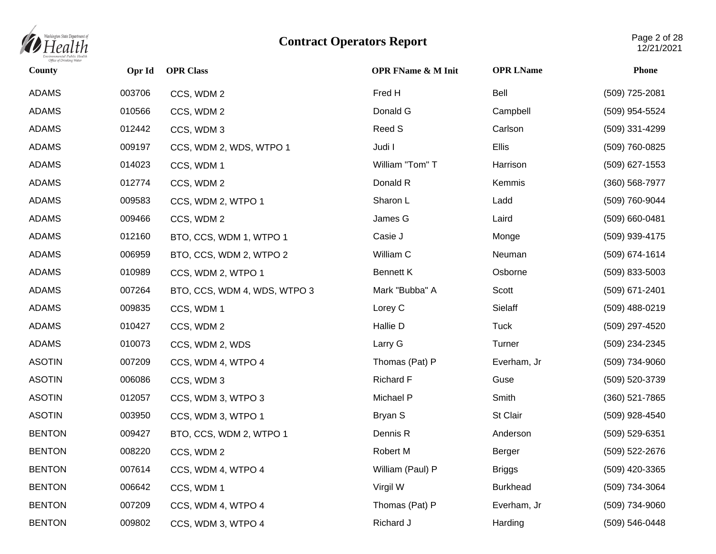

| County        | Opr Id | <b>OPR Class</b>             | <b>OPR FName &amp; M Init</b> | <b>OPR LName</b> | <b>Phone</b>       |
|---------------|--------|------------------------------|-------------------------------|------------------|--------------------|
| <b>ADAMS</b>  | 003706 | CCS, WDM 2                   | Fred H                        | Bell             | (509) 725-2081     |
| <b>ADAMS</b>  | 010566 | CCS, WDM 2                   | Donald G                      | Campbell         | (509) 954-5524     |
| <b>ADAMS</b>  | 012442 | CCS, WDM 3                   | Reed S                        | Carlson          | (509) 331-4299     |
| <b>ADAMS</b>  | 009197 | CCS, WDM 2, WDS, WTPO 1      | Judi I                        | Ellis            | (509) 760-0825     |
| <b>ADAMS</b>  | 014023 | CCS, WDM 1                   | William "Tom" T               | Harrison         | (509) 627-1553     |
| <b>ADAMS</b>  | 012774 | CCS, WDM 2                   | Donald R                      | Kemmis           | $(360) 568 - 7977$ |
| <b>ADAMS</b>  | 009583 | CCS, WDM 2, WTPO 1           | Sharon L                      | Ladd             | (509) 760-9044     |
| <b>ADAMS</b>  | 009466 | CCS, WDM 2                   | James G                       | Laird            | $(509)$ 660-0481   |
| <b>ADAMS</b>  | 012160 | BTO, CCS, WDM 1, WTPO 1      | Casie J                       | Monge            | (509) 939-4175     |
| <b>ADAMS</b>  | 006959 | BTO, CCS, WDM 2, WTPO 2      | William C                     | Neuman           | (509) 674-1614     |
| <b>ADAMS</b>  | 010989 | CCS, WDM 2, WTPO 1           | Bennett K                     | Osborne          | $(509)$ 833-5003   |
| <b>ADAMS</b>  | 007264 | BTO, CCS, WDM 4, WDS, WTPO 3 | Mark "Bubba" A                | Scott            | (509) 671-2401     |
| <b>ADAMS</b>  | 009835 | CCS, WDM 1                   | Lorey C                       | Sielaff          | (509) 488-0219     |
| <b>ADAMS</b>  | 010427 | CCS, WDM 2                   | Hallie D                      | <b>Tuck</b>      | (509) 297-4520     |
| <b>ADAMS</b>  | 010073 | CCS, WDM 2, WDS              | Larry G                       | Turner           | (509) 234-2345     |
| <b>ASOTIN</b> | 007209 | CCS, WDM 4, WTPO 4           | Thomas (Pat) P                | Everham, Jr      | (509) 734-9060     |
| <b>ASOTIN</b> | 006086 | CCS, WDM 3                   | <b>Richard F</b>              | Guse             | (509) 520-3739     |
| <b>ASOTIN</b> | 012057 | CCS, WDM 3, WTPO 3           | Michael P                     | Smith            | $(360)$ 521-7865   |
| <b>ASOTIN</b> | 003950 | CCS, WDM 3, WTPO 1           | Bryan S                       | St Clair         | (509) 928-4540     |
| <b>BENTON</b> | 009427 | BTO, CCS, WDM 2, WTPO 1      | Dennis R                      | Anderson         | (509) 529-6351     |
| <b>BENTON</b> | 008220 | CCS, WDM 2                   | Robert M                      | Berger           | (509) 522-2676     |
| <b>BENTON</b> | 007614 | CCS, WDM 4, WTPO 4           | William (Paul) P              | <b>Briggs</b>    | (509) 420-3365     |
| <b>BENTON</b> | 006642 | CCS, WDM 1                   | Virgil W                      | <b>Burkhead</b>  | (509) 734-3064     |
| <b>BENTON</b> | 007209 | CCS, WDM 4, WTPO 4           | Thomas (Pat) P                | Everham, Jr      | (509) 734-9060     |
| <b>BENTON</b> | 009802 | CCS, WDM 3, WTPO 4           | Richard J                     | Harding          | (509) 546-0448     |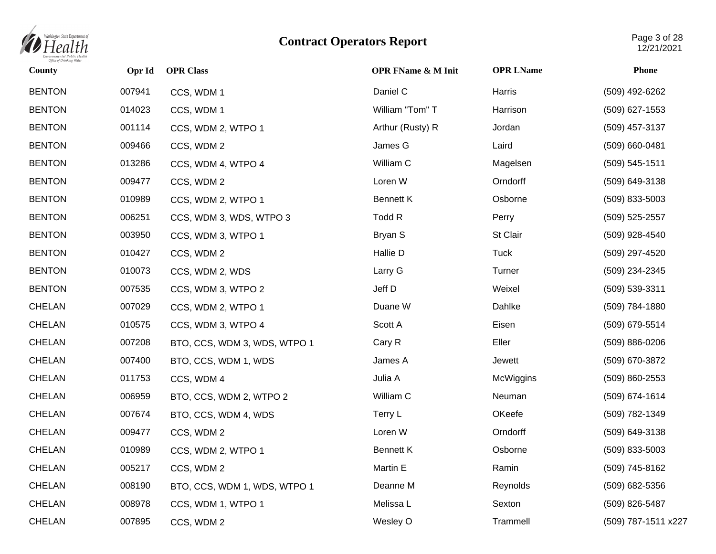

| County        | Opr Id | <b>OPR Class</b>             | <b>OPR FName &amp; M Init</b> | <b>OPR LName</b> | <b>Phone</b>        |
|---------------|--------|------------------------------|-------------------------------|------------------|---------------------|
| <b>BENTON</b> | 007941 | CCS, WDM 1                   | Daniel C                      | Harris           | (509) 492-6262      |
| <b>BENTON</b> | 014023 | CCS, WDM 1                   | William "Tom" T               | Harrison         | (509) 627-1553      |
| <b>BENTON</b> | 001114 | CCS, WDM 2, WTPO 1           | Arthur (Rusty) R              | Jordan           | (509) 457-3137      |
| <b>BENTON</b> | 009466 | CCS, WDM 2                   | James G                       | Laird            | (509) 660-0481      |
| <b>BENTON</b> | 013286 | CCS, WDM 4, WTPO 4           | William C                     | Magelsen         | (509) 545-1511      |
| <b>BENTON</b> | 009477 | CCS, WDM 2                   | Loren W                       | Orndorff         | (509) 649-3138      |
| <b>BENTON</b> | 010989 | CCS, WDM 2, WTPO 1           | <b>Bennett K</b>              | Osborne          | (509) 833-5003      |
| <b>BENTON</b> | 006251 | CCS, WDM 3, WDS, WTPO 3      | Todd R                        | Perry            | (509) 525-2557      |
| <b>BENTON</b> | 003950 | CCS, WDM 3, WTPO 1           | Bryan S                       | St Clair         | (509) 928-4540      |
| <b>BENTON</b> | 010427 | CCS, WDM 2                   | Hallie D                      | <b>Tuck</b>      | (509) 297-4520      |
| <b>BENTON</b> | 010073 | CCS, WDM 2, WDS              | Larry G                       | Turner           | (509) 234-2345      |
| <b>BENTON</b> | 007535 | CCS, WDM 3, WTPO 2           | Jeff D                        | Weixel           | (509) 539-3311      |
| <b>CHELAN</b> | 007029 | CCS, WDM 2, WTPO 1           | Duane W                       | Dahlke           | (509) 784-1880      |
| CHELAN        | 010575 | CCS, WDM 3, WTPO 4           | Scott A                       | Eisen            | (509) 679-5514      |
| CHELAN        | 007208 | BTO, CCS, WDM 3, WDS, WTPO 1 | Cary R                        | Eller            | (509) 886-0206      |
| <b>CHELAN</b> | 007400 | BTO, CCS, WDM 1, WDS         | James A                       | Jewett           | (509) 670-3872      |
| <b>CHELAN</b> | 011753 | CCS, WDM 4                   | Julia A                       | McWiggins        | (509) 860-2553      |
| CHELAN        | 006959 | BTO, CCS, WDM 2, WTPO 2      | William C                     | Neuman           | (509) 674-1614      |
| <b>CHELAN</b> | 007674 | BTO, CCS, WDM 4, WDS         | Terry L                       | OKeefe           | (509) 782-1349      |
| CHELAN        | 009477 | CCS, WDM 2                   | Loren W                       | Orndorff         | (509) 649-3138      |
| CHELAN        | 010989 | CCS, WDM 2, WTPO 1           | <b>Bennett K</b>              | Osborne          | (509) 833-5003      |
| CHELAN        | 005217 | CCS, WDM 2                   | Martin E                      | Ramin            | (509) 745-8162      |
| CHELAN        | 008190 | BTO, CCS, WDM 1, WDS, WTPO 1 | Deanne M                      | Reynolds         | (509) 682-5356      |
| <b>CHELAN</b> | 008978 | CCS, WDM 1, WTPO 1           | Melissa L                     | Sexton           | (509) 826-5487      |
| CHELAN        | 007895 | CCS, WDM 2                   | Wesley O                      | Trammell         | (509) 787-1511 x227 |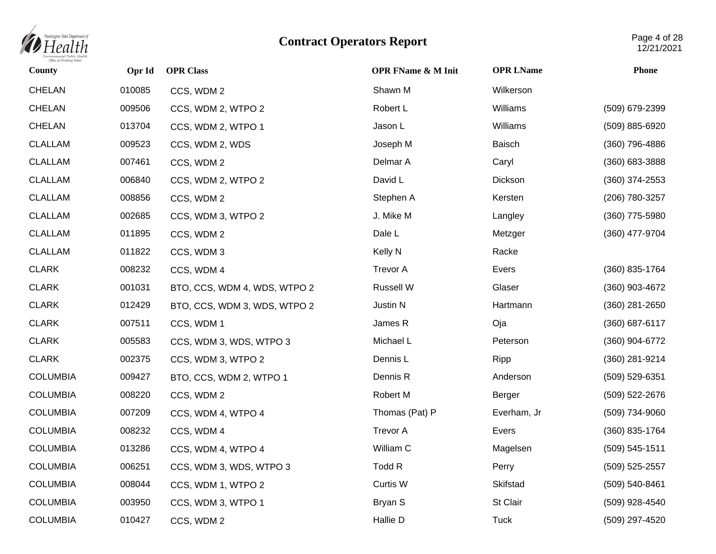

| County          | Opr Id | <b>OPR Class</b>             | <b>OPR FName &amp; M Init</b> | <b>OPR LName</b> | <b>Phone</b>       |
|-----------------|--------|------------------------------|-------------------------------|------------------|--------------------|
| <b>CHELAN</b>   | 010085 | CCS, WDM 2                   | Shawn M                       | Wilkerson        |                    |
| <b>CHELAN</b>   | 009506 | CCS, WDM 2, WTPO 2           | Robert L                      | Williams         | (509) 679-2399     |
| CHELAN          | 013704 | CCS, WDM 2, WTPO 1           | Jason L                       | Williams         | (509) 885-6920     |
| <b>CLALLAM</b>  | 009523 | CCS, WDM 2, WDS              | Joseph M                      | Baisch           | (360) 796-4886     |
| <b>CLALLAM</b>  | 007461 | CCS, WDM 2                   | Delmar A                      | Caryl            | $(360)$ 683-3888   |
| <b>CLALLAM</b>  | 006840 | CCS, WDM 2, WTPO 2           | David L                       | Dickson          | $(360)$ 374-2553   |
| <b>CLALLAM</b>  | 008856 | CCS, WDM 2                   | Stephen A                     | Kersten          | (206) 780-3257     |
| <b>CLALLAM</b>  | 002685 | CCS, WDM 3, WTPO 2           | J. Mike M                     | Langley          | (360) 775-5980     |
| <b>CLALLAM</b>  | 011895 | CCS, WDM 2                   | Dale L                        | Metzger          | (360) 477-9704     |
| <b>CLALLAM</b>  | 011822 | CCS, WDM 3                   | Kelly N                       | Racke            |                    |
| <b>CLARK</b>    | 008232 | CCS, WDM 4                   | <b>Trevor A</b>               | Evers            | (360) 835-1764     |
| <b>CLARK</b>    | 001031 | BTO, CCS, WDM 4, WDS, WTPO 2 | Russell W                     | Glaser           | (360) 903-4672     |
| <b>CLARK</b>    | 012429 | BTO, CCS, WDM 3, WDS, WTPO 2 | Justin N                      | Hartmann         | $(360)$ 281-2650   |
| <b>CLARK</b>    | 007511 | CCS, WDM 1                   | James R                       | Oja              | (360) 687-6117     |
| <b>CLARK</b>    | 005583 | CCS, WDM 3, WDS, WTPO 3      | Michael L                     | Peterson         | (360) 904-6772     |
| <b>CLARK</b>    | 002375 | CCS, WDM 3, WTPO 2           | Dennis L                      | Ripp             | (360) 281-9214     |
| <b>COLUMBIA</b> | 009427 | BTO, CCS, WDM 2, WTPO 1      | Dennis R                      | Anderson         | (509) 529-6351     |
| <b>COLUMBIA</b> | 008220 | CCS, WDM 2                   | Robert M                      | Berger           | (509) 522-2676     |
| <b>COLUMBIA</b> | 007209 | CCS, WDM 4, WTPO 4           | Thomas (Pat) P                | Everham, Jr      | (509) 734-9060     |
| <b>COLUMBIA</b> | 008232 | CCS, WDM 4                   | <b>Trevor A</b>               | Evers            | (360) 835-1764     |
| <b>COLUMBIA</b> | 013286 | CCS, WDM 4, WTPO 4           | William C                     | Magelsen         | $(509) 545 - 1511$ |
| <b>COLUMBIA</b> | 006251 | CCS, WDM 3, WDS, WTPO 3      | Todd R                        | Perry            | (509) 525-2557     |
| <b>COLUMBIA</b> | 008044 | CCS, WDM 1, WTPO 2           | Curtis W                      | Skifstad         | (509) 540-8461     |
| <b>COLUMBIA</b> | 003950 | CCS, WDM 3, WTPO 1           | Bryan S                       | St Clair         | (509) 928-4540     |
| <b>COLUMBIA</b> | 010427 | CCS, WDM 2                   | Hallie D                      | <b>Tuck</b>      | (509) 297-4520     |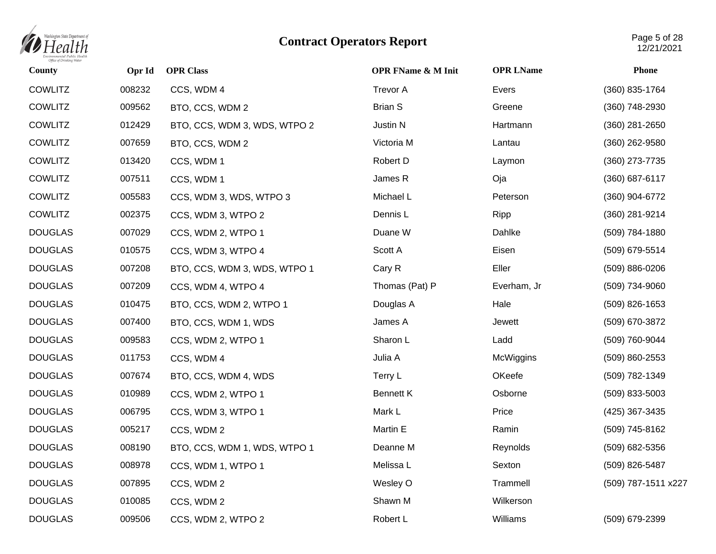

| County         | Opr Id | <b>OPR Class</b>             | <b>OPR FName &amp; M Init</b> | <b>OPR LName</b> | <b>Phone</b>        |
|----------------|--------|------------------------------|-------------------------------|------------------|---------------------|
| <b>COWLITZ</b> | 008232 | CCS, WDM 4                   | <b>Trevor A</b>               | Evers            | (360) 835-1764      |
| <b>COWLITZ</b> | 009562 | BTO, CCS, WDM 2              | <b>Brian S</b>                | Greene           | (360) 748-2930      |
| <b>COWLITZ</b> | 012429 | BTO, CCS, WDM 3, WDS, WTPO 2 | Justin N                      | Hartmann         | (360) 281-2650      |
| <b>COWLITZ</b> | 007659 | BTO, CCS, WDM 2              | Victoria M                    | Lantau           | $(360)$ 262-9580    |
| <b>COWLITZ</b> | 013420 | CCS, WDM 1                   | Robert D                      | Laymon           | (360) 273-7735      |
| <b>COWLITZ</b> | 007511 | CCS, WDM 1                   | James R                       | Oja              | $(360)$ 687-6117    |
| <b>COWLITZ</b> | 005583 | CCS, WDM 3, WDS, WTPO 3      | Michael L                     | Peterson         | (360) 904-6772      |
| <b>COWLITZ</b> | 002375 | CCS, WDM 3, WTPO 2           | Dennis L                      | Ripp             | (360) 281-9214      |
| <b>DOUGLAS</b> | 007029 | CCS, WDM 2, WTPO 1           | Duane W                       | Dahlke           | (509) 784-1880      |
| <b>DOUGLAS</b> | 010575 | CCS, WDM 3, WTPO 4           | Scott A                       | Eisen            | (509) 679-5514      |
| <b>DOUGLAS</b> | 007208 | BTO, CCS, WDM 3, WDS, WTPO 1 | Cary R                        | Eller            | (509) 886-0206      |
| <b>DOUGLAS</b> | 007209 | CCS, WDM 4, WTPO 4           | Thomas (Pat) P                | Everham, Jr      | (509) 734-9060      |
| <b>DOUGLAS</b> | 010475 | BTO, CCS, WDM 2, WTPO 1      | Douglas A                     | Hale             | $(509)$ 826-1653    |
| <b>DOUGLAS</b> | 007400 | BTO, CCS, WDM 1, WDS         | James A                       | Jewett           | (509) 670-3872      |
| <b>DOUGLAS</b> | 009583 | CCS, WDM 2, WTPO 1           | Sharon L                      | Ladd             | (509) 760-9044      |
| <b>DOUGLAS</b> | 011753 | CCS, WDM 4                   | Julia A                       | McWiggins        | (509) 860-2553      |
| <b>DOUGLAS</b> | 007674 | BTO, CCS, WDM 4, WDS         | Terry L                       | OKeefe           | (509) 782-1349      |
| <b>DOUGLAS</b> | 010989 | CCS, WDM 2, WTPO 1           | <b>Bennett K</b>              | Osborne          | (509) 833-5003      |
| <b>DOUGLAS</b> | 006795 | CCS, WDM 3, WTPO 1           | Mark L                        | Price            | (425) 367-3435      |
| <b>DOUGLAS</b> | 005217 | CCS, WDM 2                   | Martin E                      | Ramin            | (509) 745-8162      |
| <b>DOUGLAS</b> | 008190 | BTO, CCS, WDM 1, WDS, WTPO 1 | Deanne M                      | Reynolds         | (509) 682-5356      |
| <b>DOUGLAS</b> | 008978 | CCS, WDM 1, WTPO 1           | Melissa L                     | Sexton           | (509) 826-5487      |
| <b>DOUGLAS</b> | 007895 | CCS, WDM 2                   | Wesley O                      | Trammell         | (509) 787-1511 x227 |
| <b>DOUGLAS</b> | 010085 | CCS, WDM 2                   | Shawn M                       | Wilkerson        |                     |
| <b>DOUGLAS</b> | 009506 | CCS, WDM 2, WTPO 2           | Robert L                      | Williams         | (509) 679-2399      |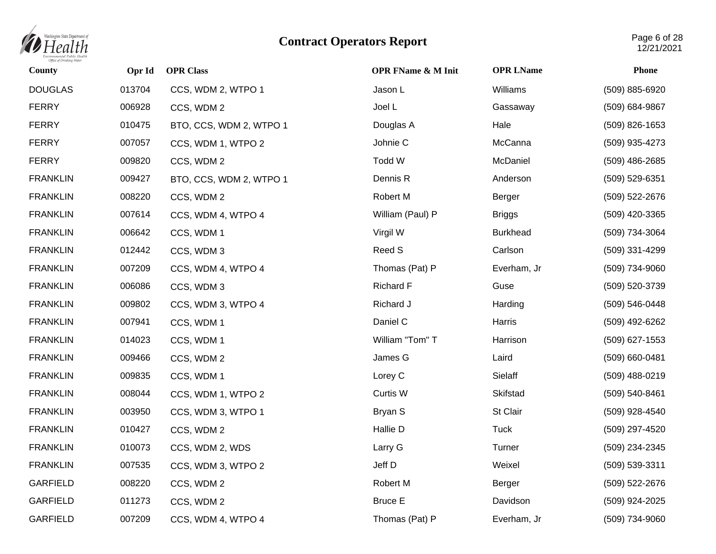

| County          | Opr Id | <b>OPR Class</b>        | <b>OPR FName &amp; M Init</b> | <b>OPR LName</b> | <b>Phone</b>     |
|-----------------|--------|-------------------------|-------------------------------|------------------|------------------|
| <b>DOUGLAS</b>  | 013704 | CCS, WDM 2, WTPO 1      | Jason L                       | Williams         | (509) 885-6920   |
| <b>FERRY</b>    | 006928 | CCS, WDM 2              | Joel L                        | Gassaway         | (509) 684-9867   |
| <b>FERRY</b>    | 010475 | BTO, CCS, WDM 2, WTPO 1 | Douglas A                     | Hale             | $(509)$ 826-1653 |
| <b>FERRY</b>    | 007057 | CCS, WDM 1, WTPO 2      | Johnie C                      | McCanna          | (509) 935-4273   |
| <b>FERRY</b>    | 009820 | CCS, WDM 2              | Todd W                        | McDaniel         | (509) 486-2685   |
| <b>FRANKLIN</b> | 009427 | BTO, CCS, WDM 2, WTPO 1 | Dennis R                      | Anderson         | (509) 529-6351   |
| <b>FRANKLIN</b> | 008220 | CCS, WDM 2              | Robert M                      | Berger           | (509) 522-2676   |
| <b>FRANKLIN</b> | 007614 | CCS, WDM 4, WTPO 4      | William (Paul) P              | <b>Briggs</b>    | (509) 420-3365   |
| <b>FRANKLIN</b> | 006642 | CCS, WDM 1              | Virgil W                      | <b>Burkhead</b>  | (509) 734-3064   |
| <b>FRANKLIN</b> | 012442 | CCS, WDM 3              | Reed S                        | Carlson          | (509) 331-4299   |
| <b>FRANKLIN</b> | 007209 | CCS, WDM 4, WTPO 4      | Thomas (Pat) P                | Everham, Jr      | (509) 734-9060   |
| <b>FRANKLIN</b> | 006086 | CCS, WDM 3              | <b>Richard F</b>              | Guse             | (509) 520-3739   |
| <b>FRANKLIN</b> | 009802 | CCS, WDM 3, WTPO 4      | Richard J                     | Harding          | (509) 546-0448   |
| <b>FRANKLIN</b> | 007941 | CCS, WDM 1              | Daniel C                      | Harris           | (509) 492-6262   |
| <b>FRANKLIN</b> | 014023 | CCS, WDM 1              | William "Tom" T               | Harrison         | (509) 627-1553   |
| <b>FRANKLIN</b> | 009466 | CCS, WDM 2              | James G                       | Laird            | (509) 660-0481   |
| <b>FRANKLIN</b> | 009835 | CCS, WDM 1              | Lorey C                       | Sielaff          | (509) 488-0219   |
| <b>FRANKLIN</b> | 008044 | CCS, WDM 1, WTPO 2      | Curtis W                      | Skifstad         | (509) 540-8461   |
| <b>FRANKLIN</b> | 003950 | CCS, WDM 3, WTPO 1      | Bryan S                       | St Clair         | (509) 928-4540   |
| <b>FRANKLIN</b> | 010427 | CCS, WDM 2              | Hallie D                      | <b>Tuck</b>      | (509) 297-4520   |
| <b>FRANKLIN</b> | 010073 | CCS, WDM 2, WDS         | Larry G                       | Turner           | (509) 234-2345   |
| <b>FRANKLIN</b> | 007535 | CCS, WDM 3, WTPO 2      | Jeff D                        | Weixel           | (509) 539-3311   |
| <b>GARFIELD</b> | 008220 | CCS, WDM 2              | Robert M                      | Berger           | (509) 522-2676   |
| <b>GARFIELD</b> | 011273 | CCS, WDM 2              | <b>Bruce E</b>                | Davidson         | (509) 924-2025   |
| <b>GARFIELD</b> | 007209 | CCS, WDM 4, WTPO 4      | Thomas (Pat) P                | Everham, Jr      | (509) 734-9060   |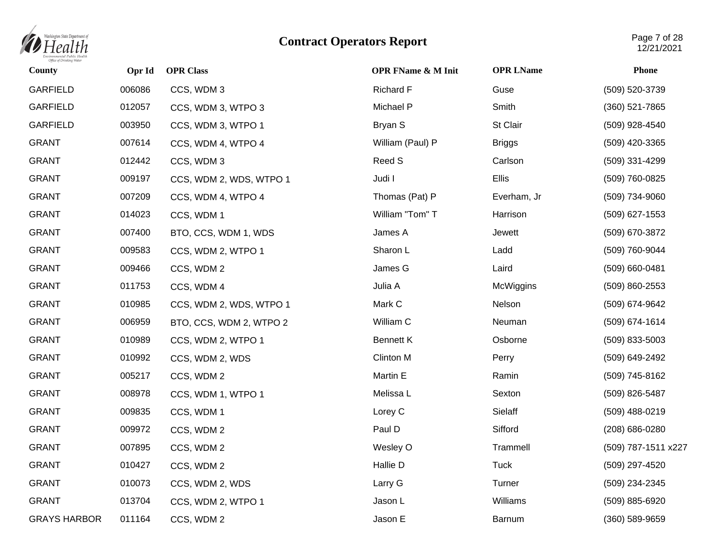

| County              | Opr Id | <b>OPR Class</b>        | <b>OPR FName &amp; M Init</b> | <b>OPR LName</b> | <b>Phone</b>        |
|---------------------|--------|-------------------------|-------------------------------|------------------|---------------------|
| <b>GARFIELD</b>     | 006086 | CCS, WDM 3              | <b>Richard F</b>              | Guse             | (509) 520-3739      |
| <b>GARFIELD</b>     | 012057 | CCS, WDM 3, WTPO 3      | Michael P                     | Smith            | (360) 521-7865      |
| <b>GARFIELD</b>     | 003950 | CCS, WDM 3, WTPO 1      | Bryan S                       | St Clair         | (509) 928-4540      |
| <b>GRANT</b>        | 007614 | CCS, WDM 4, WTPO 4      | William (Paul) P              | <b>Briggs</b>    | (509) 420-3365      |
| <b>GRANT</b>        | 012442 | CCS, WDM 3              | Reed S                        | Carlson          | (509) 331-4299      |
| <b>GRANT</b>        | 009197 | CCS, WDM 2, WDS, WTPO 1 | Judi I                        | Ellis            | (509) 760-0825      |
| <b>GRANT</b>        | 007209 | CCS, WDM 4, WTPO 4      | Thomas (Pat) P                | Everham, Jr      | (509) 734-9060      |
| <b>GRANT</b>        | 014023 | CCS, WDM 1              | William "Tom" T               | Harrison         | (509) 627-1553      |
| <b>GRANT</b>        | 007400 | BTO, CCS, WDM 1, WDS    | James A                       | Jewett           | (509) 670-3872      |
| <b>GRANT</b>        | 009583 | CCS, WDM 2, WTPO 1      | Sharon L                      | Ladd             | (509) 760-9044      |
| <b>GRANT</b>        | 009466 | CCS, WDM 2              | James G                       | Laird            | (509) 660-0481      |
| <b>GRANT</b>        | 011753 | CCS, WDM 4              | Julia A                       | McWiggins        | (509) 860-2553      |
| <b>GRANT</b>        | 010985 | CCS, WDM 2, WDS, WTPO 1 | Mark C                        | Nelson           | (509) 674-9642      |
| <b>GRANT</b>        | 006959 | BTO, CCS, WDM 2, WTPO 2 | William C                     | Neuman           | (509) 674-1614      |
| <b>GRANT</b>        | 010989 | CCS, WDM 2, WTPO 1      | <b>Bennett K</b>              | Osborne          | (509) 833-5003      |
| <b>GRANT</b>        | 010992 | CCS, WDM 2, WDS         | Clinton M                     | Perry            | (509) 649-2492      |
| <b>GRANT</b>        | 005217 | CCS, WDM 2              | Martin E                      | Ramin            | (509) 745-8162      |
| <b>GRANT</b>        | 008978 | CCS, WDM 1, WTPO 1      | Melissa L                     | Sexton           | (509) 826-5487      |
| <b>GRANT</b>        | 009835 | CCS, WDM 1              | Lorey C                       | Sielaff          | (509) 488-0219      |
| <b>GRANT</b>        | 009972 | CCS, WDM 2              | Paul D                        | Sifford          | (208) 686-0280      |
| <b>GRANT</b>        | 007895 | CCS, WDM 2              | Wesley O                      | Trammell         | (509) 787-1511 x227 |
| <b>GRANT</b>        | 010427 | CCS, WDM 2              | Hallie D                      | <b>Tuck</b>      | (509) 297-4520      |
| <b>GRANT</b>        | 010073 | CCS, WDM 2, WDS         | Larry G                       | Turner           | (509) 234-2345      |
| <b>GRANT</b>        | 013704 | CCS, WDM 2, WTPO 1      | Jason L                       | Williams         | (509) 885-6920      |
| <b>GRAYS HARBOR</b> | 011164 | CCS, WDM 2              | Jason E                       | Barnum           | (360) 589-9659      |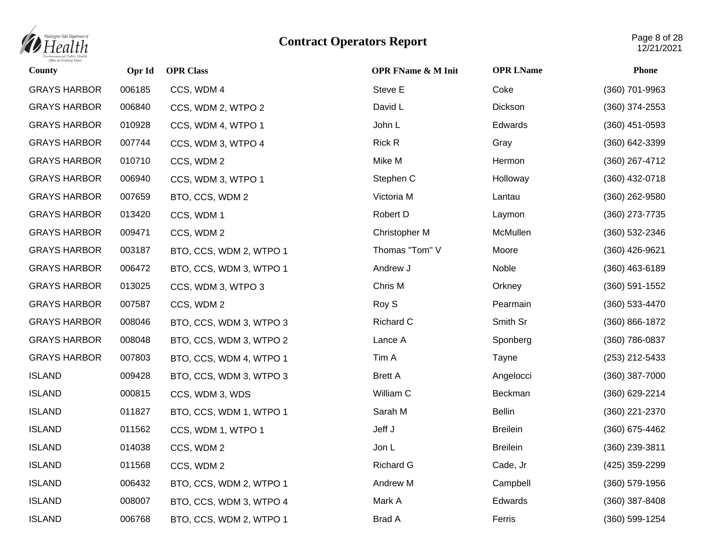

| County              | Opr Id | <b>OPR Class</b>        | <b>OPR FName &amp; M Init</b> | <b>OPR LName</b> | <b>Phone</b>       |
|---------------------|--------|-------------------------|-------------------------------|------------------|--------------------|
| <b>GRAYS HARBOR</b> | 006185 | CCS, WDM 4              | Steve E                       | Coke             | (360) 701-9963     |
| <b>GRAYS HARBOR</b> | 006840 | CCS, WDM 2, WTPO 2      | David L                       | Dickson          | $(360)$ 374-2553   |
| <b>GRAYS HARBOR</b> | 010928 | CCS, WDM 4, WTPO 1      | John L                        | Edwards          | $(360)$ 451-0593   |
| <b>GRAYS HARBOR</b> | 007744 | CCS, WDM 3, WTPO 4      | <b>Rick R</b>                 | Gray             | (360) 642-3399     |
| <b>GRAYS HARBOR</b> | 010710 | CCS, WDM 2              | Mike M                        | Hermon           | (360) 267-4712     |
| <b>GRAYS HARBOR</b> | 006940 | CCS, WDM 3, WTPO 1      | Stephen C                     | Holloway         | (360) 432-0718     |
| <b>GRAYS HARBOR</b> | 007659 | BTO, CCS, WDM 2         | Victoria M                    | Lantau           | $(360)$ 262-9580   |
| <b>GRAYS HARBOR</b> | 013420 | CCS, WDM 1              | Robert D                      | Laymon           | (360) 273-7735     |
| <b>GRAYS HARBOR</b> | 009471 | CCS, WDM 2              | Christopher M                 | McMullen         | $(360)$ 532-2346   |
| <b>GRAYS HARBOR</b> | 003187 | BTO, CCS, WDM 2, WTPO 1 | Thomas "Tom" V                | Moore            | (360) 426-9621     |
| <b>GRAYS HARBOR</b> | 006472 | BTO, CCS, WDM 3, WTPO 1 | Andrew J                      | Noble            | $(360)$ 463-6189   |
| <b>GRAYS HARBOR</b> | 013025 | CCS, WDM 3, WTPO 3      | Chris M                       | Orkney           | $(360) 591 - 1552$ |
| <b>GRAYS HARBOR</b> | 007587 | CCS, WDM 2              | Roy S                         | Pearmain         | (360) 533-4470     |
| <b>GRAYS HARBOR</b> | 008046 | BTO, CCS, WDM 3, WTPO 3 | Richard C                     | Smith Sr         | $(360) 866 - 1872$ |
| <b>GRAYS HARBOR</b> | 008048 | BTO, CCS, WDM 3, WTPO 2 | Lance A                       | Sponberg         | (360) 786-0837     |
| <b>GRAYS HARBOR</b> | 007803 | BTO, CCS, WDM 4, WTPO 1 | Tim A                         | Tayne            | $(253)$ 212-5433   |
| <b>ISLAND</b>       | 009428 | BTO, CCS, WDM 3, WTPO 3 | <b>Brett A</b>                | Angelocci        | (360) 387-7000     |
| <b>ISLAND</b>       | 000815 | CCS, WDM 3, WDS         | William C                     | Beckman          | (360) 629-2214     |
| <b>ISLAND</b>       | 011827 | BTO, CCS, WDM 1, WTPO 1 | Sarah M                       | <b>Bellin</b>    | (360) 221-2370     |
| <b>ISLAND</b>       | 011562 | CCS, WDM 1, WTPO 1      | Jeff J                        | <b>Breilein</b>  | $(360)$ 675-4462   |
| <b>ISLAND</b>       | 014038 | CCS, WDM 2              | Jon L                         | <b>Breilein</b>  | (360) 239-3811     |
| <b>ISLAND</b>       | 011568 | CCS, WDM 2              | <b>Richard G</b>              | Cade, Jr         | (425) 359-2299     |
| <b>ISLAND</b>       | 006432 | BTO, CCS, WDM 2, WTPO 1 | Andrew M                      | Campbell         | $(360)$ 579-1956   |
| <b>ISLAND</b>       | 008007 | BTO, CCS, WDM 3, WTPO 4 | Mark A                        | Edwards          | $(360)$ 387-8408   |
| <b>ISLAND</b>       | 006768 | BTO, CCS, WDM 2, WTPO 1 | Brad A                        | Ferris           | (360) 599-1254     |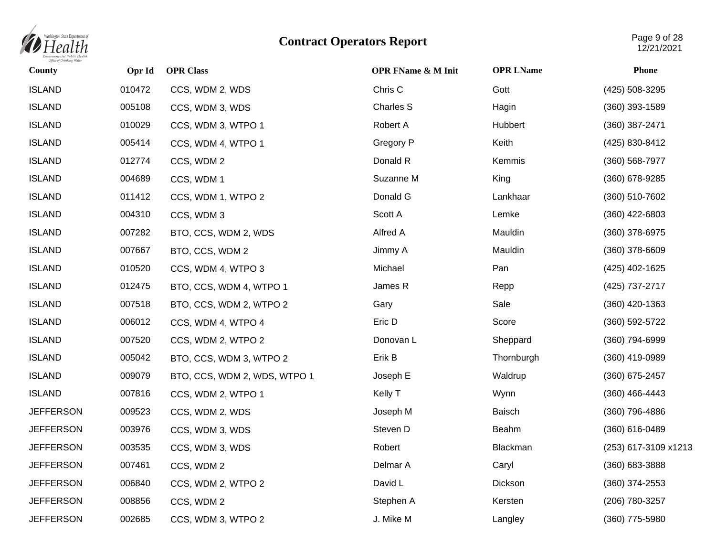

| County           | Opr Id | <b>OPR Class</b>             | <b>OPR FName &amp; M Init</b> | <b>OPR LName</b> | <b>Phone</b>         |
|------------------|--------|------------------------------|-------------------------------|------------------|----------------------|
| <b>ISLAND</b>    | 010472 | CCS, WDM 2, WDS              | Chris C                       | Gott             | (425) 508-3295       |
| <b>ISLAND</b>    | 005108 | CCS, WDM 3, WDS              | <b>Charles S</b>              | Hagin            | $(360)$ 393-1589     |
| <b>ISLAND</b>    | 010029 | CCS, WDM 3, WTPO 1           | Robert A                      | Hubbert          | (360) 387-2471       |
| <b>ISLAND</b>    | 005414 | CCS, WDM 4, WTPO 1           | Gregory P                     | Keith            | (425) 830-8412       |
| <b>ISLAND</b>    | 012774 | CCS, WDM 2                   | Donald R                      | Kemmis           | (360) 568-7977       |
| <b>ISLAND</b>    | 004689 | CCS, WDM 1                   | Suzanne M                     | King             | (360) 678-9285       |
| <b>ISLAND</b>    | 011412 | CCS, WDM 1, WTPO 2           | Donald G                      | Lankhaar         | (360) 510-7602       |
| <b>ISLAND</b>    | 004310 | CCS, WDM 3                   | Scott A                       | Lemke            | $(360)$ 422-6803     |
| <b>ISLAND</b>    | 007282 | BTO, CCS, WDM 2, WDS         | Alfred A                      | Mauldin          | (360) 378-6975       |
| <b>ISLAND</b>    | 007667 | BTO, CCS, WDM 2              | Jimmy A                       | Mauldin          | (360) 378-6609       |
| <b>ISLAND</b>    | 010520 | CCS, WDM 4, WTPO 3           | Michael                       | Pan              | (425) 402-1625       |
| <b>ISLAND</b>    | 012475 | BTO, CCS, WDM 4, WTPO 1      | James R                       | Repp             | (425) 737-2717       |
| <b>ISLAND</b>    | 007518 | BTO, CCS, WDM 2, WTPO 2      | Gary                          | Sale             | $(360)$ 420-1363     |
| <b>ISLAND</b>    | 006012 | CCS, WDM 4, WTPO 4           | Eric D                        | Score            | (360) 592-5722       |
| <b>ISLAND</b>    | 007520 | CCS, WDM 2, WTPO 2           | Donovan L                     | Sheppard         | (360) 794-6999       |
| <b>ISLAND</b>    | 005042 | BTO, CCS, WDM 3, WTPO 2      | Erik B                        | Thornburgh       | (360) 419-0989       |
| <b>ISLAND</b>    | 009079 | BTO, CCS, WDM 2, WDS, WTPO 1 | Joseph E                      | Waldrup          | (360) 675-2457       |
| <b>ISLAND</b>    | 007816 | CCS, WDM 2, WTPO 1           | Kelly T                       | Wynn             | $(360)$ 466-4443     |
| <b>JEFFERSON</b> | 009523 | CCS, WDM 2, WDS              | Joseph M                      | Baisch           | (360) 796-4886       |
| <b>JEFFERSON</b> | 003976 | CCS, WDM 3, WDS              | Steven D                      | Beahm            | (360) 616-0489       |
| <b>JEFFERSON</b> | 003535 | CCS, WDM 3, WDS              | Robert                        | Blackman         | (253) 617-3109 x1213 |
| <b>JEFFERSON</b> | 007461 | CCS, WDM 2                   | Delmar A                      | Caryl            | $(360)$ 683-3888     |
| <b>JEFFERSON</b> | 006840 | CCS, WDM 2, WTPO 2           | David L                       | Dickson          | $(360)$ 374-2553     |
| <b>JEFFERSON</b> | 008856 | CCS, WDM 2                   | Stephen A                     | Kersten          | (206) 780-3257       |
| <b>JEFFERSON</b> | 002685 | CCS, WDM 3, WTPO 2           | J. Mike M                     | Langley          | (360) 775-5980       |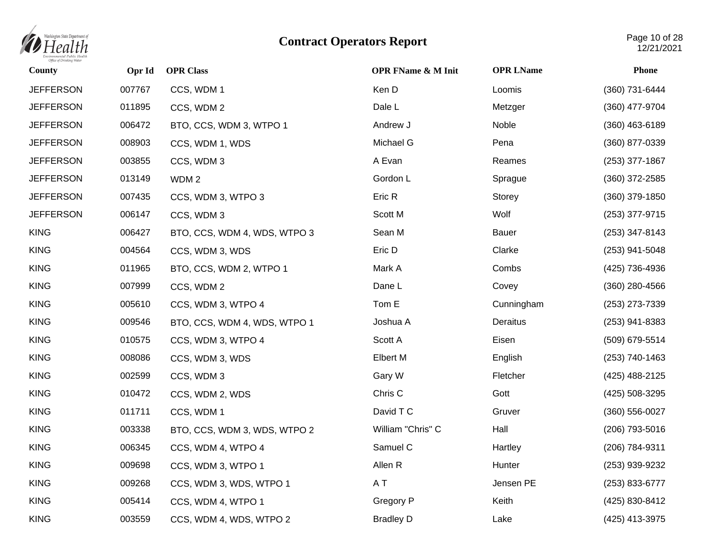

| County           | Opr Id | <b>OPR Class</b>             | <b>OPR FName &amp; M Init</b> | <b>OPR LName</b> | <b>Phone</b>       |
|------------------|--------|------------------------------|-------------------------------|------------------|--------------------|
| <b>JEFFERSON</b> | 007767 | CCS, WDM 1                   | Ken D                         | Loomis           | (360) 731-6444     |
| <b>JEFFERSON</b> | 011895 | CCS, WDM 2                   | Dale L                        | Metzger          | (360) 477-9704     |
| <b>JEFFERSON</b> | 006472 | BTO, CCS, WDM 3, WTPO 1      | Andrew J                      | Noble            | $(360)$ 463-6189   |
| <b>JEFFERSON</b> | 008903 | CCS, WDM 1, WDS              | Michael G                     | Pena             | (360) 877-0339     |
| <b>JEFFERSON</b> | 003855 | CCS, WDM 3                   | A Evan                        | Reames           | (253) 377-1867     |
| <b>JEFFERSON</b> | 013149 | WDM <sub>2</sub>             | Gordon L                      | Sprague          | $(360)$ 372-2585   |
| <b>JEFFERSON</b> | 007435 | CCS, WDM 3, WTPO 3           | Eric R                        | Storey           | $(360)$ 379-1850   |
| <b>JEFFERSON</b> | 006147 | CCS, WDM 3                   | Scott M                       | Wolf             | (253) 377-9715     |
| <b>KING</b>      | 006427 | BTO, CCS, WDM 4, WDS, WTPO 3 | Sean M                        | Bauer            | $(253)$ 347-8143   |
| <b>KING</b>      | 004564 | CCS, WDM 3, WDS              | Eric D                        | Clarke           | (253) 941-5048     |
| <b>KING</b>      | 011965 | BTO, CCS, WDM 2, WTPO 1      | Mark A                        | Combs            | (425) 736-4936     |
| <b>KING</b>      | 007999 | CCS, WDM 2                   | Dane L                        | Covey            | $(360)$ 280-4566   |
| <b>KING</b>      | 005610 | CCS, WDM 3, WTPO 4           | Tom E                         | Cunningham       | (253) 273-7339     |
| <b>KING</b>      | 009546 | BTO, CCS, WDM 4, WDS, WTPO 1 | Joshua A                      | Deraitus         | $(253)$ 941-8383   |
| <b>KING</b>      | 010575 | CCS, WDM 3, WTPO 4           | Scott A                       | Eisen            | (509) 679-5514     |
| <b>KING</b>      | 008086 | CCS, WDM 3, WDS              | <b>Elbert M</b>               | English          | (253) 740-1463     |
| <b>KING</b>      | 002599 | CCS, WDM 3                   | Gary W                        | Fletcher         | (425) 488-2125     |
| <b>KING</b>      | 010472 | CCS, WDM 2, WDS              | Chris C                       | Gott             | (425) 508-3295     |
| <b>KING</b>      | 011711 | CCS, WDM 1                   | David T C                     | Gruver           | $(360) 556 - 0027$ |
| <b>KING</b>      | 003338 | BTO, CCS, WDM 3, WDS, WTPO 2 | William "Chris" C             | Hall             | (206) 793-5016     |
| <b>KING</b>      | 006345 | CCS, WDM 4, WTPO 4           | Samuel C                      | Hartley          | (206) 784-9311     |
| <b>KING</b>      | 009698 | CCS, WDM 3, WTPO 1           | Allen R                       | Hunter           | (253) 939-9232     |
| <b>KING</b>      | 009268 | CCS, WDM 3, WDS, WTPO 1      | A T                           | Jensen PE        | (253) 833-6777     |
| <b>KING</b>      | 005414 | CCS, WDM 4, WTPO 1           | Gregory P                     | Keith            | (425) 830-8412     |
| <b>KING</b>      | 003559 | CCS, WDM 4, WDS, WTPO 2      | <b>Bradley D</b>              | Lake             | (425) 413-3975     |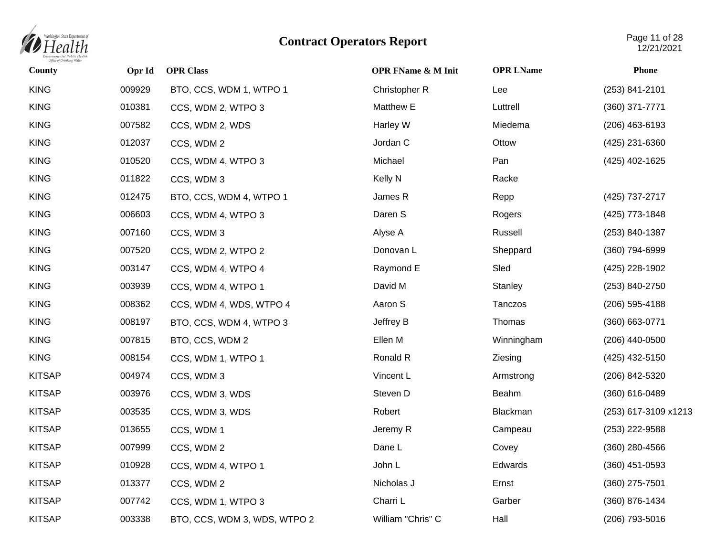

| County        | Opr Id | <b>OPR Class</b>             | <b>OPR FName &amp; M Init</b> | <b>OPR LName</b> | Phone                |
|---------------|--------|------------------------------|-------------------------------|------------------|----------------------|
| <b>KING</b>   | 009929 | BTO, CCS, WDM 1, WTPO 1      | Christopher R                 | Lee              | (253) 841-2101       |
| <b>KING</b>   | 010381 | CCS, WDM 2, WTPO 3           | Matthew E                     | Luttrell         | (360) 371-7771       |
| <b>KING</b>   | 007582 | CCS, WDM 2, WDS              | Harley W                      | Miedema          | $(206)$ 463-6193     |
| <b>KING</b>   | 012037 | CCS, WDM 2                   | Jordan C                      | Ottow            | (425) 231-6360       |
| <b>KING</b>   | 010520 | CCS, WDM 4, WTPO 3           | Michael                       | Pan              | (425) 402-1625       |
| <b>KING</b>   | 011822 | CCS, WDM 3                   | Kelly N                       | Racke            |                      |
| <b>KING</b>   | 012475 | BTO, CCS, WDM 4, WTPO 1      | James R                       | Repp             | (425) 737-2717       |
| <b>KING</b>   | 006603 | CCS, WDM 4, WTPO 3           | Daren S                       | Rogers           | (425) 773-1848       |
| <b>KING</b>   | 007160 | CCS, WDM 3                   | Alyse A                       | Russell          | (253) 840-1387       |
| <b>KING</b>   | 007520 | CCS, WDM 2, WTPO 2           | Donovan L                     | Sheppard         | (360) 794-6999       |
| <b>KING</b>   | 003147 | CCS, WDM 4, WTPO 4           | Raymond E                     | Sled             | (425) 228-1902       |
| <b>KING</b>   | 003939 | CCS, WDM 4, WTPO 1           | David M                       | Stanley          | (253) 840-2750       |
| <b>KING</b>   | 008362 | CCS, WDM 4, WDS, WTPO 4      | Aaron S                       | Tanczos          | (206) 595-4188       |
| <b>KING</b>   | 008197 | BTO, CCS, WDM 4, WTPO 3      | Jeffrey B                     | Thomas           | (360) 663-0771       |
| <b>KING</b>   | 007815 | BTO, CCS, WDM 2              | Ellen M                       | Winningham       | (206) 440-0500       |
| <b>KING</b>   | 008154 | CCS, WDM 1, WTPO 1           | Ronald R                      | Ziesing          | (425) 432-5150       |
| <b>KITSAP</b> | 004974 | CCS, WDM 3                   | Vincent L                     | Armstrong        | (206) 842-5320       |
| <b>KITSAP</b> | 003976 | CCS, WDM 3, WDS              | Steven D                      | Beahm            | (360) 616-0489       |
| <b>KITSAP</b> | 003535 | CCS, WDM 3, WDS              | Robert                        | Blackman         | (253) 617-3109 x1213 |
| <b>KITSAP</b> | 013655 | CCS, WDM 1                   | Jeremy R                      | Campeau          | (253) 222-9588       |
| <b>KITSAP</b> | 007999 | CCS, WDM 2                   | Dane L                        | Covey            | $(360)$ 280-4566     |
| <b>KITSAP</b> | 010928 | CCS, WDM 4, WTPO 1           | John L                        | Edwards          | $(360)$ 451-0593     |
| <b>KITSAP</b> | 013377 | CCS, WDM 2                   | Nicholas J                    | Ernst            | $(360)$ 275-7501     |
| <b>KITSAP</b> | 007742 | CCS, WDM 1, WTPO 3           | Charri L                      | Garber           | (360) 876-1434       |
| <b>KITSAP</b> | 003338 | BTO, CCS, WDM 3, WDS, WTPO 2 | William "Chris" C             | Hall             | (206) 793-5016       |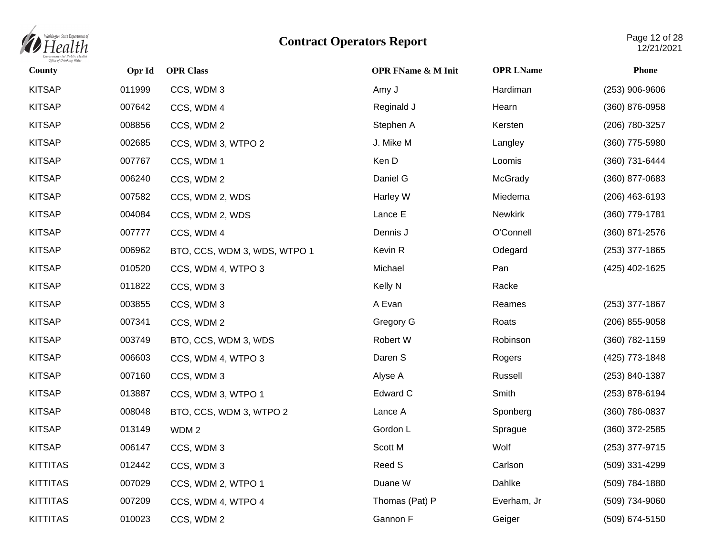

| <b>County</b>   | Opr Id | <b>OPR Class</b>             | <b>OPR FName &amp; M Init</b> | <b>OPR LName</b> | <b>Phone</b>       |
|-----------------|--------|------------------------------|-------------------------------|------------------|--------------------|
| <b>KITSAP</b>   | 011999 | CCS, WDM 3                   | Amy J                         | Hardiman         | (253) 906-9606     |
| <b>KITSAP</b>   | 007642 | CCS, WDM 4                   | Reginald J                    | Hearn            | (360) 876-0958     |
| <b>KITSAP</b>   | 008856 | CCS, WDM 2                   | Stephen A                     | Kersten          | (206) 780-3257     |
| <b>KITSAP</b>   | 002685 | CCS, WDM 3, WTPO 2           | J. Mike M                     | Langley          | (360) 775-5980     |
| <b>KITSAP</b>   | 007767 | CCS, WDM 1                   | Ken D                         | Loomis           | (360) 731-6444     |
| <b>KITSAP</b>   | 006240 | CCS, WDM 2                   | Daniel G                      | McGrady          | (360) 877-0683     |
| <b>KITSAP</b>   | 007582 | CCS, WDM 2, WDS              | Harley W                      | Miedema          | $(206)$ 463-6193   |
| <b>KITSAP</b>   | 004084 | CCS, WDM 2, WDS              | Lance E                       | <b>Newkirk</b>   | (360) 779-1781     |
| <b>KITSAP</b>   | 007777 | CCS, WDM 4                   | Dennis J                      | O'Connell        | (360) 871-2576     |
| <b>KITSAP</b>   | 006962 | BTO, CCS, WDM 3, WDS, WTPO 1 | Kevin R                       | Odegard          | $(253)$ 377-1865   |
| <b>KITSAP</b>   | 010520 | CCS, WDM 4, WTPO 3           | Michael                       | Pan              | (425) 402-1625     |
| <b>KITSAP</b>   | 011822 | CCS, WDM 3                   | Kelly N                       | Racke            |                    |
| <b>KITSAP</b>   | 003855 | CCS, WDM 3                   | A Evan                        | Reames           | $(253)$ 377-1867   |
| <b>KITSAP</b>   | 007341 | CCS, WDM 2                   | Gregory G                     | Roats            | $(206)$ 855-9058   |
| <b>KITSAP</b>   | 003749 | BTO, CCS, WDM 3, WDS         | Robert W                      | Robinson         | (360) 782-1159     |
| <b>KITSAP</b>   | 006603 | CCS, WDM 4, WTPO 3           | Daren S                       | Rogers           | (425) 773-1848     |
| <b>KITSAP</b>   | 007160 | CCS, WDM 3                   | Alyse A                       | Russell          | $(253) 840 - 1387$ |
| <b>KITSAP</b>   | 013887 | CCS, WDM 3, WTPO 1           | Edward C                      | Smith            | (253) 878-6194     |
| <b>KITSAP</b>   | 008048 | BTO, CCS, WDM 3, WTPO 2      | Lance A                       | Sponberg         | (360) 786-0837     |
| <b>KITSAP</b>   | 013149 | WDM <sub>2</sub>             | Gordon L                      | Sprague          | (360) 372-2585     |
| <b>KITSAP</b>   | 006147 | CCS, WDM 3                   | Scott M                       | Wolf             | (253) 377-9715     |
| <b>KITTITAS</b> | 012442 | CCS, WDM 3                   | Reed S                        | Carlson          | (509) 331-4299     |
| <b>KITTITAS</b> | 007029 | CCS, WDM 2, WTPO 1           | Duane W                       | Dahlke           | (509) 784-1880     |
| <b>KITTITAS</b> | 007209 | CCS, WDM 4, WTPO 4           | Thomas (Pat) P                | Everham, Jr      | (509) 734-9060     |
| <b>KITTITAS</b> | 010023 | CCS, WDM 2                   | Gannon F                      | Geiger           | (509) 674-5150     |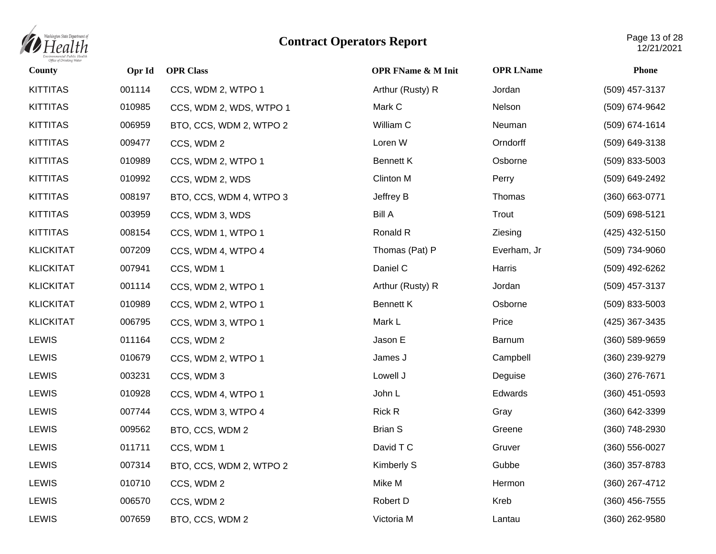

| County           | Opr Id | <b>OPR Class</b>        | <b>OPR FName &amp; M Init</b> | <b>OPR LName</b> | <b>Phone</b>       |
|------------------|--------|-------------------------|-------------------------------|------------------|--------------------|
| <b>KITTITAS</b>  | 001114 | CCS, WDM 2, WTPO 1      | Arthur (Rusty) R              | Jordan           | (509) 457-3137     |
| <b>KITTITAS</b>  | 010985 | CCS, WDM 2, WDS, WTPO 1 | Mark C                        | Nelson           | (509) 674-9642     |
| <b>KITTITAS</b>  | 006959 | BTO, CCS, WDM 2, WTPO 2 | William C                     | Neuman           | (509) 674-1614     |
| <b>KITTITAS</b>  | 009477 | CCS, WDM 2              | Loren W                       | Orndorff         | (509) 649-3138     |
| <b>KITTITAS</b>  | 010989 | CCS, WDM 2, WTPO 1      | <b>Bennett K</b>              | Osborne          | (509) 833-5003     |
| <b>KITTITAS</b>  | 010992 | CCS, WDM 2, WDS         | Clinton M                     | Perry            | (509) 649-2492     |
| <b>KITTITAS</b>  | 008197 | BTO, CCS, WDM 4, WTPO 3 | Jeffrey B                     | Thomas           | (360) 663-0771     |
| <b>KITTITAS</b>  | 003959 | CCS, WDM 3, WDS         | <b>Bill A</b>                 | Trout            | (509) 698-5121     |
| <b>KITTITAS</b>  | 008154 | CCS, WDM 1, WTPO 1      | Ronald R                      | Ziesing          | (425) 432-5150     |
| <b>KLICKITAT</b> | 007209 | CCS, WDM 4, WTPO 4      | Thomas (Pat) P                | Everham, Jr      | (509) 734-9060     |
| <b>KLICKITAT</b> | 007941 | CCS, WDM 1              | Daniel C                      | Harris           | (509) 492-6262     |
| <b>KLICKITAT</b> | 001114 | CCS, WDM 2, WTPO 1      | Arthur (Rusty) R              | Jordan           | (509) 457-3137     |
| <b>KLICKITAT</b> | 010989 | CCS, WDM 2, WTPO 1      | <b>Bennett K</b>              | Osborne          | (509) 833-5003     |
| <b>KLICKITAT</b> | 006795 | CCS, WDM 3, WTPO 1      | Mark L                        | Price            | (425) 367-3435     |
| <b>LEWIS</b>     | 011164 | CCS, WDM 2              | Jason E                       | Barnum           | $(360) 589 - 9659$ |
| <b>LEWIS</b>     | 010679 | CCS, WDM 2, WTPO 1      | James J                       | Campbell         | (360) 239-9279     |
| <b>LEWIS</b>     | 003231 | CCS, WDM 3              | Lowell J                      | Deguise          | (360) 276-7671     |
| <b>LEWIS</b>     | 010928 | CCS, WDM 4, WTPO 1      | John L                        | Edwards          | $(360)$ 451-0593   |
| <b>LEWIS</b>     | 007744 | CCS, WDM 3, WTPO 4      | Rick R                        | Gray             | (360) 642-3399     |
| <b>LEWIS</b>     | 009562 | BTO, CCS, WDM 2         | <b>Brian S</b>                | Greene           | (360) 748-2930     |
| <b>LEWIS</b>     | 011711 | CCS, WDM 1              | David T C                     | Gruver           | $(360) 556 - 0027$ |
| <b>LEWIS</b>     | 007314 | BTO, CCS, WDM 2, WTPO 2 | Kimberly S                    | Gubbe            | $(360)$ 357-8783   |
| <b>LEWIS</b>     | 010710 | CCS, WDM 2              | Mike M                        | Hermon           | (360) 267-4712     |
| <b>LEWIS</b>     | 006570 | CCS, WDM 2              | Robert D                      | Kreb             | $(360)$ 456-7555   |
| <b>LEWIS</b>     | 007659 | BTO, CCS, WDM 2         | Victoria M                    | Lantau           | (360) 262-9580     |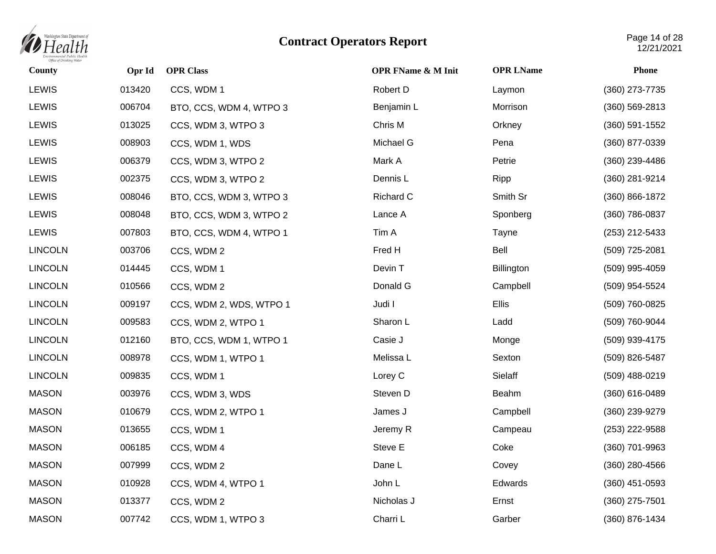

| <b>County</b>  | Opr Id | <b>OPR Class</b>        | <b>OPR FName &amp; M Init</b> | <b>OPR LName</b> | <b>Phone</b>     |
|----------------|--------|-------------------------|-------------------------------|------------------|------------------|
| <b>LEWIS</b>   | 013420 | CCS, WDM 1              | Robert D                      | Laymon           | (360) 273-7735   |
| <b>LEWIS</b>   | 006704 | BTO, CCS, WDM 4, WTPO 3 | Benjamin L                    | Morrison         | (360) 569-2813   |
| <b>LEWIS</b>   | 013025 | CCS, WDM 3, WTPO 3      | Chris M                       | Orkney           | $(360)$ 591-1552 |
| <b>LEWIS</b>   | 008903 | CCS, WDM 1, WDS         | Michael G                     | Pena             | (360) 877-0339   |
| <b>LEWIS</b>   | 006379 | CCS, WDM 3, WTPO 2      | Mark A                        | Petrie           | (360) 239-4486   |
| <b>LEWIS</b>   | 002375 | CCS, WDM 3, WTPO 2      | Dennis L                      | Ripp             | (360) 281-9214   |
| <b>LEWIS</b>   | 008046 | BTO, CCS, WDM 3, WTPO 3 | Richard C                     | Smith Sr         | (360) 866-1872   |
| <b>LEWIS</b>   | 008048 | BTO, CCS, WDM 3, WTPO 2 | Lance A                       | Sponberg         | (360) 786-0837   |
| <b>LEWIS</b>   | 007803 | BTO, CCS, WDM 4, WTPO 1 | Tim A                         | Tayne            | (253) 212-5433   |
| <b>LINCOLN</b> | 003706 | CCS, WDM 2              | Fred H                        | Bell             | (509) 725-2081   |
| <b>LINCOLN</b> | 014445 | CCS, WDM 1              | Devin T                       | Billington       | (509) 995-4059   |
| <b>LINCOLN</b> | 010566 | CCS, WDM 2              | Donald G                      | Campbell         | (509) 954-5524   |
| <b>LINCOLN</b> | 009197 | CCS, WDM 2, WDS, WTPO 1 | Judi I                        | Ellis            | (509) 760-0825   |
| <b>LINCOLN</b> | 009583 | CCS, WDM 2, WTPO 1      | Sharon L                      | Ladd             | (509) 760-9044   |
| <b>LINCOLN</b> | 012160 | BTO, CCS, WDM 1, WTPO 1 | Casie J                       | Monge            | (509) 939-4175   |
| <b>LINCOLN</b> | 008978 | CCS, WDM 1, WTPO 1      | Melissa L                     | Sexton           | (509) 826-5487   |
| <b>LINCOLN</b> | 009835 | CCS, WDM 1              | Lorey C                       | Sielaff          | (509) 488-0219   |
| <b>MASON</b>   | 003976 | CCS, WDM 3, WDS         | Steven D                      | Beahm            | (360) 616-0489   |
| <b>MASON</b>   | 010679 | CCS, WDM 2, WTPO 1      | James J                       | Campbell         | (360) 239-9279   |
| <b>MASON</b>   | 013655 | CCS, WDM 1              | Jeremy R                      | Campeau          | (253) 222-9588   |
| <b>MASON</b>   | 006185 | CCS, WDM 4              | Steve E                       | Coke             | (360) 701-9963   |
| <b>MASON</b>   | 007999 | CCS, WDM 2              | Dane L                        | Covey            | $(360)$ 280-4566 |
| <b>MASON</b>   | 010928 | CCS, WDM 4, WTPO 1      | John L                        | Edwards          | $(360)$ 451-0593 |
| <b>MASON</b>   | 013377 | CCS, WDM 2              | Nicholas J                    | Ernst            | (360) 275-7501   |
| <b>MASON</b>   | 007742 | CCS, WDM 1, WTPO 3      | Charri L                      | Garber           | (360) 876-1434   |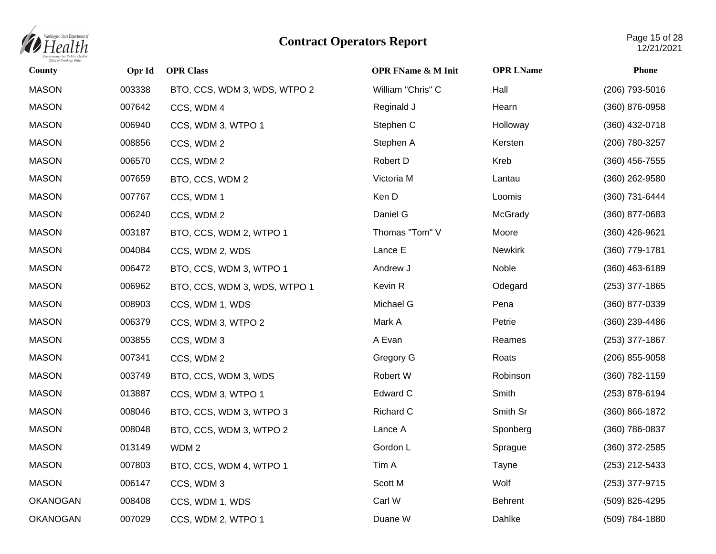

| <b>County</b>   | Opr Id | <b>OPR Class</b>             | <b>OPR FName &amp; M Init</b> | <b>OPR LName</b> | <b>Phone</b>     |
|-----------------|--------|------------------------------|-------------------------------|------------------|------------------|
| <b>MASON</b>    | 003338 | BTO, CCS, WDM 3, WDS, WTPO 2 | William "Chris" C             | Hall             | (206) 793-5016   |
| <b>MASON</b>    | 007642 | CCS, WDM 4                   | Reginald J                    | Hearn            | (360) 876-0958   |
| <b>MASON</b>    | 006940 | CCS, WDM 3, WTPO 1           | Stephen C                     | Holloway         | (360) 432-0718   |
| <b>MASON</b>    | 008856 | CCS, WDM 2                   | Stephen A                     | Kersten          | (206) 780-3257   |
| <b>MASON</b>    | 006570 | CCS, WDM 2                   | Robert D                      | Kreb             | (360) 456-7555   |
| <b>MASON</b>    | 007659 | BTO, CCS, WDM 2              | Victoria M                    | Lantau           | (360) 262-9580   |
| <b>MASON</b>    | 007767 | CCS, WDM 1                   | Ken D                         | Loomis           | (360) 731-6444   |
| <b>MASON</b>    | 006240 | CCS, WDM 2                   | Daniel G                      | McGrady          | (360) 877-0683   |
| <b>MASON</b>    | 003187 | BTO, CCS, WDM 2, WTPO 1      | Thomas "Tom" V                | Moore            | (360) 426-9621   |
| <b>MASON</b>    | 004084 | CCS, WDM 2, WDS              | Lance E                       | <b>Newkirk</b>   | (360) 779-1781   |
| <b>MASON</b>    | 006472 | BTO, CCS, WDM 3, WTPO 1      | Andrew J                      | Noble            | $(360)$ 463-6189 |
| <b>MASON</b>    | 006962 | BTO, CCS, WDM 3, WDS, WTPO 1 | Kevin R                       | Odegard          | $(253)$ 377-1865 |
| <b>MASON</b>    | 008903 | CCS, WDM 1, WDS              | Michael G                     | Pena             | (360) 877-0339   |
| <b>MASON</b>    | 006379 | CCS, WDM 3, WTPO 2           | Mark A                        | Petrie           | (360) 239-4486   |
| <b>MASON</b>    | 003855 | CCS, WDM 3                   | A Evan                        | Reames           | (253) 377-1867   |
| <b>MASON</b>    | 007341 | CCS, WDM 2                   | Gregory G                     | Roats            | (206) 855-9058   |
| <b>MASON</b>    | 003749 | BTO, CCS, WDM 3, WDS         | Robert W                      | Robinson         | (360) 782-1159   |
| <b>MASON</b>    | 013887 | CCS, WDM 3, WTPO 1           | Edward C                      | Smith            | (253) 878-6194   |
| <b>MASON</b>    | 008046 | BTO, CCS, WDM 3, WTPO 3      | Richard C                     | Smith Sr         | (360) 866-1872   |
| <b>MASON</b>    | 008048 | BTO, CCS, WDM 3, WTPO 2      | Lance A                       | Sponberg         | (360) 786-0837   |
| <b>MASON</b>    | 013149 | WDM <sub>2</sub>             | Gordon L                      | Sprague          | (360) 372-2585   |
| <b>MASON</b>    | 007803 | BTO, CCS, WDM 4, WTPO 1      | Tim A                         | Tayne            | (253) 212-5433   |
| <b>MASON</b>    | 006147 | CCS, WDM 3                   | Scott M                       | Wolf             | (253) 377-9715   |
| <b>OKANOGAN</b> | 008408 | CCS, WDM 1, WDS              | Carl W                        | <b>Behrent</b>   | (509) 826-4295   |
| <b>OKANOGAN</b> | 007029 | CCS, WDM 2, WTPO 1           | Duane W                       | Dahlke           | (509) 784-1880   |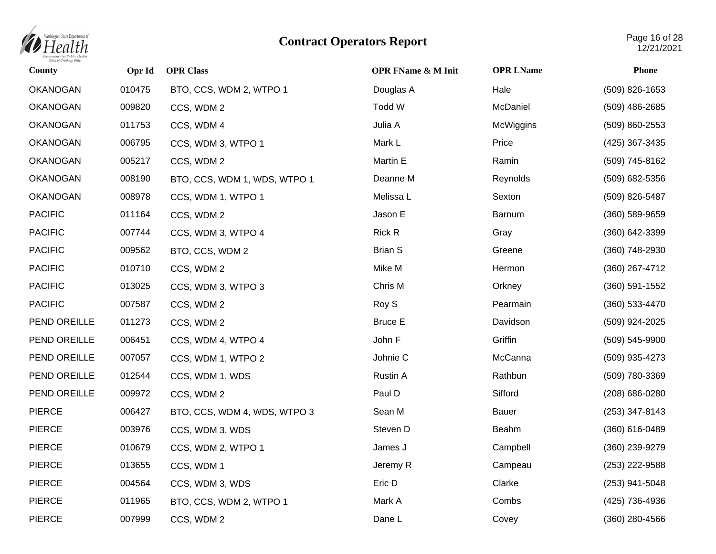

| County          | Opr Id | <b>OPR Class</b>             | <b>OPR FName &amp; M Init</b> | <b>OPR LName</b> | <b>Phone</b>     |
|-----------------|--------|------------------------------|-------------------------------|------------------|------------------|
| <b>OKANOGAN</b> | 010475 | BTO, CCS, WDM 2, WTPO 1      | Douglas A                     | Hale             | (509) 826-1653   |
| <b>OKANOGAN</b> | 009820 | CCS, WDM 2                   | Todd W                        | McDaniel         | $(509)$ 486-2685 |
| <b>OKANOGAN</b> | 011753 | CCS, WDM 4                   | Julia A                       | McWiggins        | (509) 860-2553   |
| <b>OKANOGAN</b> | 006795 | CCS, WDM 3, WTPO 1           | Mark L                        | Price            | (425) 367-3435   |
| <b>OKANOGAN</b> | 005217 | CCS, WDM 2                   | Martin E                      | Ramin            | (509) 745-8162   |
| <b>OKANOGAN</b> | 008190 | BTO, CCS, WDM 1, WDS, WTPO 1 | Deanne M                      | Reynolds         | (509) 682-5356   |
| <b>OKANOGAN</b> | 008978 | CCS, WDM 1, WTPO 1           | Melissa L                     | Sexton           | (509) 826-5487   |
| <b>PACIFIC</b>  | 011164 | CCS, WDM 2                   | Jason E                       | Barnum           | (360) 589-9659   |
| <b>PACIFIC</b>  | 007744 | CCS, WDM 3, WTPO 4           | <b>Rick R</b>                 | Gray             | (360) 642-3399   |
| <b>PACIFIC</b>  | 009562 | BTO, CCS, WDM 2              | <b>Brian S</b>                | Greene           | (360) 748-2930   |
| <b>PACIFIC</b>  | 010710 | CCS, WDM 2                   | Mike M                        | Hermon           | (360) 267-4712   |
| <b>PACIFIC</b>  | 013025 | CCS, WDM 3, WTPO 3           | Chris M                       | Orkney           | $(360)$ 591-1552 |
| <b>PACIFIC</b>  | 007587 | CCS, WDM 2                   | Roy S                         | Pearmain         | (360) 533-4470   |
| PEND OREILLE    | 011273 | CCS, WDM 2                   | <b>Bruce E</b>                | Davidson         | (509) 924-2025   |
| PEND OREILLE    | 006451 | CCS, WDM 4, WTPO 4           | John F                        | Griffin          | (509) 545-9900   |
| PEND OREILLE    | 007057 | CCS, WDM 1, WTPO 2           | Johnie C                      | McCanna          | (509) 935-4273   |
| PEND OREILLE    | 012544 | CCS, WDM 1, WDS              | <b>Rustin A</b>               | Rathbun          | (509) 780-3369   |
| PEND OREILLE    | 009972 | CCS, WDM 2                   | Paul D                        | Sifford          | (208) 686-0280   |
| <b>PIERCE</b>   | 006427 | BTO, CCS, WDM 4, WDS, WTPO 3 | Sean M                        | Bauer            | $(253)$ 347-8143 |
| <b>PIERCE</b>   | 003976 | CCS, WDM 3, WDS              | Steven D                      | Beahm            | (360) 616-0489   |
| <b>PIERCE</b>   | 010679 | CCS, WDM 2, WTPO 1           | James J                       | Campbell         | (360) 239-9279   |
| <b>PIERCE</b>   | 013655 | CCS, WDM 1                   | Jeremy R                      | Campeau          | (253) 222-9588   |
| <b>PIERCE</b>   | 004564 | CCS, WDM 3, WDS              | Eric D                        | Clarke           | (253) 941-5048   |
| <b>PIERCE</b>   | 011965 | BTO, CCS, WDM 2, WTPO 1      | Mark A                        | Combs            | (425) 736-4936   |
| <b>PIERCE</b>   | 007999 | CCS, WDM 2                   | Dane L                        | Covey            | (360) 280-4566   |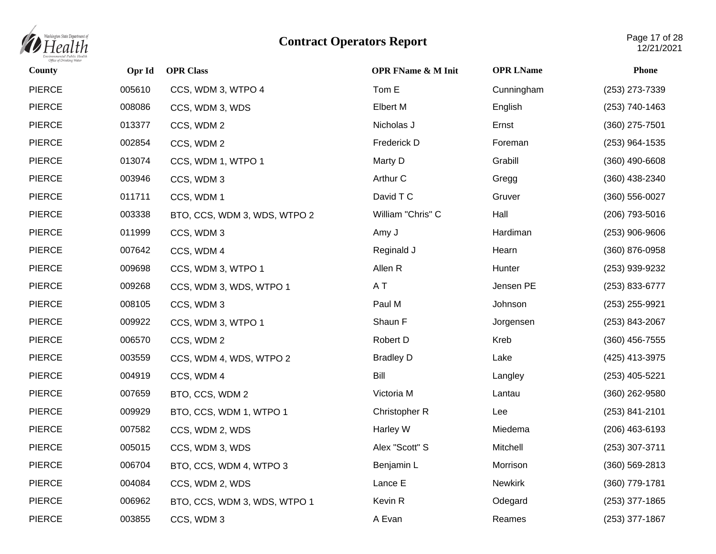

| County        | Opr Id | <b>OPR Class</b>             | <b>OPR FName &amp; M Init</b> | <b>OPR LName</b> | <b>Phone</b>       |
|---------------|--------|------------------------------|-------------------------------|------------------|--------------------|
| <b>PIERCE</b> | 005610 | CCS, WDM 3, WTPO 4           | Tom E                         | Cunningham       | (253) 273-7339     |
| <b>PIERCE</b> | 008086 | CCS, WDM 3, WDS              | <b>Elbert M</b>               | English          | (253) 740-1463     |
| <b>PIERCE</b> | 013377 | CCS, WDM 2                   | Nicholas J                    | Ernst            | (360) 275-7501     |
| <b>PIERCE</b> | 002854 | CCS, WDM 2                   | Frederick D                   | Foreman          | (253) 964-1535     |
| <b>PIERCE</b> | 013074 | CCS, WDM 1, WTPO 1           | Marty D                       | Grabill          | $(360)$ 490-6608   |
| <b>PIERCE</b> | 003946 | CCS, WDM 3                   | Arthur C                      | Gregg            | $(360)$ 438-2340   |
| <b>PIERCE</b> | 011711 | CCS, WDM 1                   | David T C                     | Gruver           | (360) 556-0027     |
| <b>PIERCE</b> | 003338 | BTO, CCS, WDM 3, WDS, WTPO 2 | William "Chris" C             | Hall             | (206) 793-5016     |
| <b>PIERCE</b> | 011999 | CCS, WDM 3                   | Amy J                         | Hardiman         | $(253)$ 906-9606   |
| <b>PIERCE</b> | 007642 | CCS, WDM 4                   | Reginald J                    | Hearn            | (360) 876-0958     |
| <b>PIERCE</b> | 009698 | CCS, WDM 3, WTPO 1           | Allen R                       | Hunter           | (253) 939-9232     |
| <b>PIERCE</b> | 009268 | CCS, WDM 3, WDS, WTPO 1      | A T                           | Jensen PE        | (253) 833-6777     |
| <b>PIERCE</b> | 008105 | CCS, WDM 3                   | Paul M                        | Johnson          | (253) 255-9921     |
| <b>PIERCE</b> | 009922 | CCS, WDM 3, WTPO 1           | Shaun F                       | Jorgensen        | (253) 843-2067     |
| <b>PIERCE</b> | 006570 | CCS, WDM 2                   | Robert D                      | Kreb             | (360) 456-7555     |
| <b>PIERCE</b> | 003559 | CCS, WDM 4, WDS, WTPO 2      | <b>Bradley D</b>              | Lake             | (425) 413-3975     |
| <b>PIERCE</b> | 004919 | CCS, WDM 4                   | Bill                          | Langley          | (253) 405-5221     |
| <b>PIERCE</b> | 007659 | BTO, CCS, WDM 2              | Victoria M                    | Lantau           | $(360)$ 262-9580   |
| <b>PIERCE</b> | 009929 | BTO, CCS, WDM 1, WTPO 1      | Christopher R                 | Lee              | $(253) 841 - 2101$ |
| <b>PIERCE</b> | 007582 | CCS, WDM 2, WDS              | Harley W                      | Miedema          | (206) 463-6193     |
| <b>PIERCE</b> | 005015 | CCS, WDM 3, WDS              | Alex "Scott" S                | Mitchell         | (253) 307-3711     |
| <b>PIERCE</b> | 006704 | BTO, CCS, WDM 4, WTPO 3      | Benjamin L                    | Morrison         | $(360) 569 - 2813$ |
| <b>PIERCE</b> | 004084 | CCS, WDM 2, WDS              | Lance E                       | <b>Newkirk</b>   | (360) 779-1781     |
| <b>PIERCE</b> | 006962 | BTO, CCS, WDM 3, WDS, WTPO 1 | Kevin R                       | Odegard          | (253) 377-1865     |
| <b>PIERCE</b> | 003855 | CCS, WDM 3                   | A Evan                        | Reames           | (253) 377-1867     |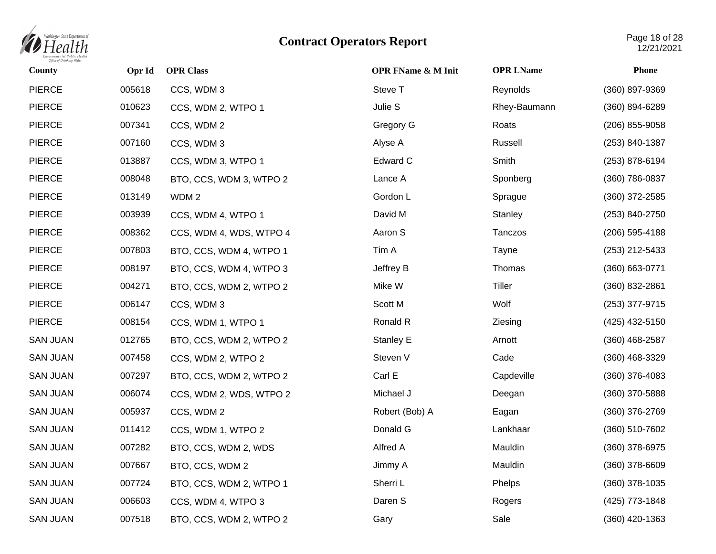

| County          | Opr Id | <b>OPR Class</b>        | <b>OPR FName &amp; M Init</b> | <b>OPR LName</b> | <b>Phone</b>     |
|-----------------|--------|-------------------------|-------------------------------|------------------|------------------|
| <b>PIERCE</b>   | 005618 | CCS, WDM 3              | Steve T                       | Reynolds         | (360) 897-9369   |
| <b>PIERCE</b>   | 010623 | CCS, WDM 2, WTPO 1      | Julie S                       | Rhey-Baumann     | (360) 894-6289   |
| <b>PIERCE</b>   | 007341 | CCS, WDM 2              | Gregory G                     | Roats            | (206) 855-9058   |
| <b>PIERCE</b>   | 007160 | CCS, WDM 3              | Alyse A                       | Russell          | (253) 840-1387   |
| <b>PIERCE</b>   | 013887 | CCS, WDM 3, WTPO 1      | Edward C                      | Smith            | (253) 878-6194   |
| <b>PIERCE</b>   | 008048 | BTO, CCS, WDM 3, WTPO 2 | Lance A                       | Sponberg         | (360) 786-0837   |
| <b>PIERCE</b>   | 013149 | WDM <sub>2</sub>        | Gordon L                      | Sprague          | $(360)$ 372-2585 |
| <b>PIERCE</b>   | 003939 | CCS, WDM 4, WTPO 1      | David M                       | Stanley          | (253) 840-2750   |
| <b>PIERCE</b>   | 008362 | CCS, WDM 4, WDS, WTPO 4 | Aaron S                       | Tanczos          | (206) 595-4188   |
| <b>PIERCE</b>   | 007803 | BTO, CCS, WDM 4, WTPO 1 | Tim A                         | Tayne            | (253) 212-5433   |
| <b>PIERCE</b>   | 008197 | BTO, CCS, WDM 4, WTPO 3 | Jeffrey B                     | Thomas           | (360) 663-0771   |
| <b>PIERCE</b>   | 004271 | BTO, CCS, WDM 2, WTPO 2 | Mike W                        | Tiller           | (360) 832-2861   |
| <b>PIERCE</b>   | 006147 | CCS, WDM 3              | Scott M                       | Wolf             | (253) 377-9715   |
| <b>PIERCE</b>   | 008154 | CCS, WDM 1, WTPO 1      | Ronald R                      | Ziesing          | (425) 432-5150   |
| <b>SAN JUAN</b> | 012765 | BTO, CCS, WDM 2, WTPO 2 | Stanley E                     | Arnott           | $(360)$ 468-2587 |
| <b>SAN JUAN</b> | 007458 | CCS, WDM 2, WTPO 2      | Steven V                      | Cade             | (360) 468-3329   |
| <b>SAN JUAN</b> | 007297 | BTO, CCS, WDM 2, WTPO 2 | Carl E                        | Capdeville       | $(360)$ 376-4083 |
| <b>SAN JUAN</b> | 006074 | CCS, WDM 2, WDS, WTPO 2 | Michael J                     | Deegan           | (360) 370-5888   |
| <b>SAN JUAN</b> | 005937 | CCS, WDM 2              | Robert (Bob) A                | Eagan            | (360) 376-2769   |
| <b>SAN JUAN</b> | 011412 | CCS, WDM 1, WTPO 2      | Donald G                      | Lankhaar         | (360) 510-7602   |
| <b>SAN JUAN</b> | 007282 | BTO, CCS, WDM 2, WDS    | Alfred A                      | Mauldin          | (360) 378-6975   |
| <b>SAN JUAN</b> | 007667 | BTO, CCS, WDM 2         | Jimmy A                       | Mauldin          | (360) 378-6609   |
| <b>SAN JUAN</b> | 007724 | BTO, CCS, WDM 2, WTPO 1 | Sherri L                      | Phelps           | (360) 378-1035   |
| <b>SAN JUAN</b> | 006603 | CCS, WDM 4, WTPO 3      | Daren S                       | Rogers           | (425) 773-1848   |
| <b>SAN JUAN</b> | 007518 | BTO, CCS, WDM 2, WTPO 2 | Gary                          | Sale             | (360) 420-1363   |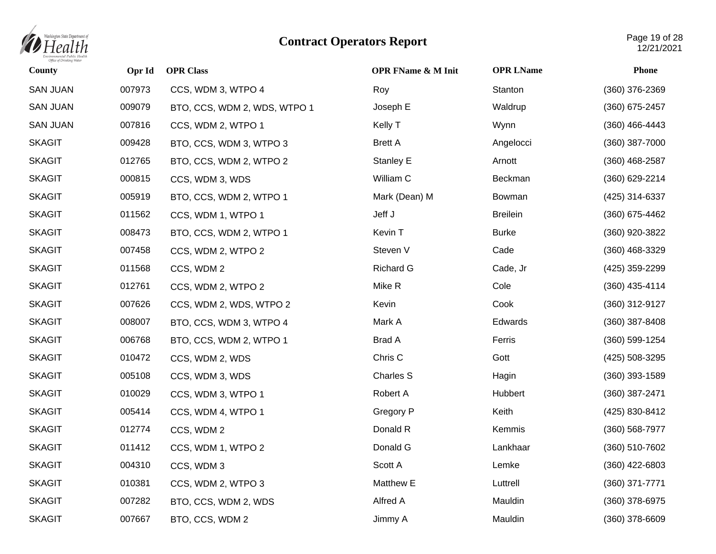

| County          | Opr Id | <b>OPR Class</b>             | <b>OPR FName &amp; M Init</b> | <b>OPR LName</b> | <b>Phone</b>     |
|-----------------|--------|------------------------------|-------------------------------|------------------|------------------|
| <b>SAN JUAN</b> | 007973 | CCS, WDM 3, WTPO 4           | Roy                           | Stanton          | (360) 376-2369   |
| <b>SAN JUAN</b> | 009079 | BTO, CCS, WDM 2, WDS, WTPO 1 | Joseph E                      | Waldrup          | (360) 675-2457   |
| <b>SAN JUAN</b> | 007816 | CCS, WDM 2, WTPO 1           | Kelly T                       | Wynn             | (360) 466-4443   |
| <b>SKAGIT</b>   | 009428 | BTO, CCS, WDM 3, WTPO 3      | <b>Brett A</b>                | Angelocci        | (360) 387-7000   |
| <b>SKAGIT</b>   | 012765 | BTO, CCS, WDM 2, WTPO 2      | Stanley E                     | Arnott           | $(360)$ 468-2587 |
| <b>SKAGIT</b>   | 000815 | CCS, WDM 3, WDS              | William C                     | Beckman          | (360) 629-2214   |
| <b>SKAGIT</b>   | 005919 | BTO, CCS, WDM 2, WTPO 1      | Mark (Dean) M                 | Bowman           | (425) 314-6337   |
| <b>SKAGIT</b>   | 011562 | CCS, WDM 1, WTPO 1           | Jeff J                        | <b>Breilein</b>  | (360) 675-4462   |
| <b>SKAGIT</b>   | 008473 | BTO, CCS, WDM 2, WTPO 1      | Kevin T                       | <b>Burke</b>     | (360) 920-3822   |
| <b>SKAGIT</b>   | 007458 | CCS, WDM 2, WTPO 2           | Steven V                      | Cade             | (360) 468-3329   |
| <b>SKAGIT</b>   | 011568 | CCS, WDM 2                   | <b>Richard G</b>              | Cade, Jr         | (425) 359-2299   |
| <b>SKAGIT</b>   | 012761 | CCS, WDM 2, WTPO 2           | Mike R                        | Cole             | (360) 435-4114   |
| <b>SKAGIT</b>   | 007626 | CCS, WDM 2, WDS, WTPO 2      | Kevin                         | Cook             | (360) 312-9127   |
| <b>SKAGIT</b>   | 008007 | BTO, CCS, WDM 3, WTPO 4      | Mark A                        | Edwards          | (360) 387-8408   |
| <b>SKAGIT</b>   | 006768 | BTO, CCS, WDM 2, WTPO 1      | <b>Brad A</b>                 | Ferris           | (360) 599-1254   |
| <b>SKAGIT</b>   | 010472 | CCS, WDM 2, WDS              | Chris C                       | Gott             | (425) 508-3295   |
| <b>SKAGIT</b>   | 005108 | CCS, WDM 3, WDS              | <b>Charles S</b>              | Hagin            | $(360)$ 393-1589 |
| <b>SKAGIT</b>   | 010029 | CCS, WDM 3, WTPO 1           | Robert A                      | Hubbert          | (360) 387-2471   |
| <b>SKAGIT</b>   | 005414 | CCS, WDM 4, WTPO 1           | Gregory P                     | Keith            | (425) 830-8412   |
| <b>SKAGIT</b>   | 012774 | CCS, WDM 2                   | Donald R                      | Kemmis           | (360) 568-7977   |
| <b>SKAGIT</b>   | 011412 | CCS, WDM 1, WTPO 2           | Donald G                      | Lankhaar         | (360) 510-7602   |
| <b>SKAGIT</b>   | 004310 | CCS, WDM 3                   | Scott A                       | Lemke            | (360) 422-6803   |
| <b>SKAGIT</b>   | 010381 | CCS, WDM 2, WTPO 3           | Matthew E                     | Luttrell         | (360) 371-7771   |
| <b>SKAGIT</b>   | 007282 | BTO, CCS, WDM 2, WDS         | Alfred A                      | Mauldin          | (360) 378-6975   |
| <b>SKAGIT</b>   | 007667 | BTO, CCS, WDM 2              | Jimmy A                       | Mauldin          | (360) 378-6609   |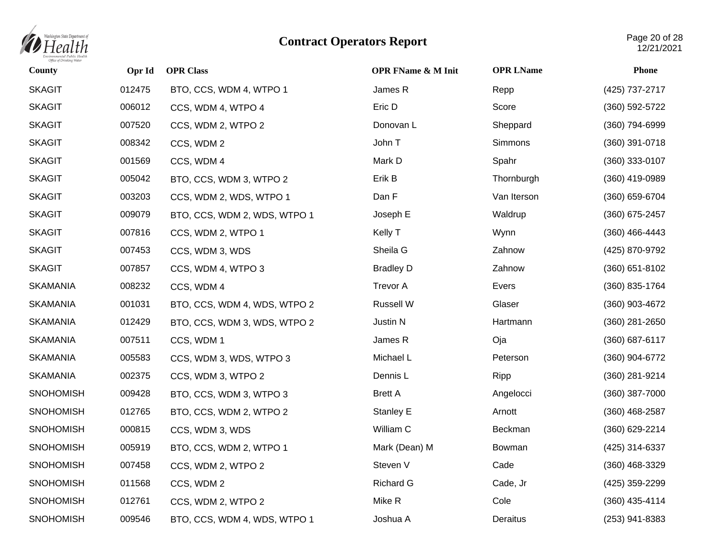

| County           | Opr Id | <b>OPR Class</b>             | <b>OPR FName &amp; M Init</b> | <b>OPR LName</b> | <b>Phone</b>     |
|------------------|--------|------------------------------|-------------------------------|------------------|------------------|
| <b>SKAGIT</b>    | 012475 | BTO, CCS, WDM 4, WTPO 1      | James R                       | Repp             | (425) 737-2717   |
| <b>SKAGIT</b>    | 006012 | CCS, WDM 4, WTPO 4           | Eric D                        | Score            | (360) 592-5722   |
| <b>SKAGIT</b>    | 007520 | CCS, WDM 2, WTPO 2           | Donovan L                     | Sheppard         | (360) 794-6999   |
| <b>SKAGIT</b>    | 008342 | CCS, WDM 2                   | John T                        | Simmons          | (360) 391-0718   |
| <b>SKAGIT</b>    | 001569 | CCS, WDM 4                   | Mark D                        | Spahr            | (360) 333-0107   |
| <b>SKAGIT</b>    | 005042 | BTO, CCS, WDM 3, WTPO 2      | Erik B                        | Thornburgh       | (360) 419-0989   |
| <b>SKAGIT</b>    | 003203 | CCS, WDM 2, WDS, WTPO 1      | Dan F                         | Van Iterson      | (360) 659-6704   |
| <b>SKAGIT</b>    | 009079 | BTO, CCS, WDM 2, WDS, WTPO 1 | Joseph E                      | Waldrup          | (360) 675-2457   |
| <b>SKAGIT</b>    | 007816 | CCS, WDM 2, WTPO 1           | Kelly T                       | Wynn             | (360) 466-4443   |
| <b>SKAGIT</b>    | 007453 | CCS, WDM 3, WDS              | Sheila G                      | Zahnow           | (425) 870-9792   |
| <b>SKAGIT</b>    | 007857 | CCS, WDM 4, WTPO 3           | <b>Bradley D</b>              | Zahnow           | (360) 651-8102   |
| <b>SKAMANIA</b>  | 008232 | CCS, WDM 4                   | <b>Trevor A</b>               | Evers            | (360) 835-1764   |
| <b>SKAMANIA</b>  | 001031 | BTO, CCS, WDM 4, WDS, WTPO 2 | Russell W                     | Glaser           | (360) 903-4672   |
| <b>SKAMANIA</b>  | 012429 | BTO, CCS, WDM 3, WDS, WTPO 2 | Justin N                      | Hartmann         | (360) 281-2650   |
| <b>SKAMANIA</b>  | 007511 | CCS, WDM 1                   | James R                       | Oja              | (360) 687-6117   |
| <b>SKAMANIA</b>  | 005583 | CCS, WDM 3, WDS, WTPO 3      | Michael L                     | Peterson         | (360) 904-6772   |
| <b>SKAMANIA</b>  | 002375 | CCS, WDM 3, WTPO 2           | Dennis L                      | Ripp             | (360) 281-9214   |
| <b>SNOHOMISH</b> | 009428 | BTO, CCS, WDM 3, WTPO 3      | <b>Brett A</b>                | Angelocci        | (360) 387-7000   |
| <b>SNOHOMISH</b> | 012765 | BTO, CCS, WDM 2, WTPO 2      | Stanley E                     | Arnott           | $(360)$ 468-2587 |
| <b>SNOHOMISH</b> | 000815 | CCS, WDM 3, WDS              | William C                     | Beckman          | (360) 629-2214   |
| <b>SNOHOMISH</b> | 005919 | BTO, CCS, WDM 2, WTPO 1      | Mark (Dean) M                 | Bowman           | (425) 314-6337   |
| <b>SNOHOMISH</b> | 007458 | CCS, WDM 2, WTPO 2           | Steven V                      | Cade             | (360) 468-3329   |
| <b>SNOHOMISH</b> | 011568 | CCS, WDM 2                   | <b>Richard G</b>              | Cade, Jr         | (425) 359-2299   |
| <b>SNOHOMISH</b> | 012761 | CCS, WDM 2, WTPO 2           | Mike R                        | Cole             | (360) 435-4114   |
| <b>SNOHOMISH</b> | 009546 | BTO, CCS, WDM 4, WDS, WTPO 1 | Joshua A                      | Deraitus         | (253) 941-8383   |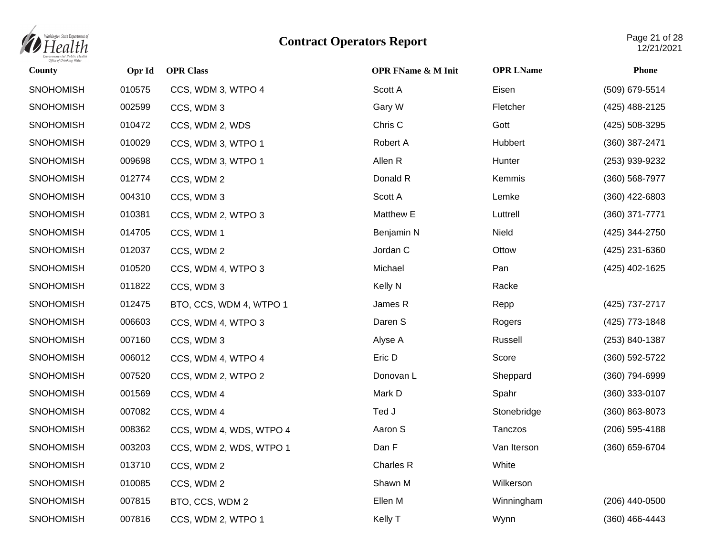

| County           | Opr Id | <b>OPR Class</b>        | <b>OPR FName &amp; M Init</b> | <b>OPR LName</b> | <b>Phone</b>   |
|------------------|--------|-------------------------|-------------------------------|------------------|----------------|
| <b>SNOHOMISH</b> | 010575 | CCS, WDM 3, WTPO 4      | Scott A                       | Eisen            | (509) 679-5514 |
| <b>SNOHOMISH</b> | 002599 | CCS, WDM 3              | Gary W                        | Fletcher         | (425) 488-2125 |
| <b>SNOHOMISH</b> | 010472 | CCS, WDM 2, WDS         | Chris C                       | Gott             | (425) 508-3295 |
| <b>SNOHOMISH</b> | 010029 | CCS, WDM 3, WTPO 1      | Robert A                      | Hubbert          | (360) 387-2471 |
| <b>SNOHOMISH</b> | 009698 | CCS, WDM 3, WTPO 1      | Allen R                       | Hunter           | (253) 939-9232 |
| <b>SNOHOMISH</b> | 012774 | CCS, WDM 2              | Donald R                      | Kemmis           | (360) 568-7977 |
| <b>SNOHOMISH</b> | 004310 | CCS, WDM 3              | Scott A                       | Lemke            | (360) 422-6803 |
| <b>SNOHOMISH</b> | 010381 | CCS, WDM 2, WTPO 3      | Matthew E                     | Luttrell         | (360) 371-7771 |
| <b>SNOHOMISH</b> | 014705 | CCS, WDM 1              | Benjamin N                    | Nield            | (425) 344-2750 |
| <b>SNOHOMISH</b> | 012037 | CCS, WDM 2              | Jordan C                      | Ottow            | (425) 231-6360 |
| <b>SNOHOMISH</b> | 010520 | CCS, WDM 4, WTPO 3      | Michael                       | Pan              | (425) 402-1625 |
| <b>SNOHOMISH</b> | 011822 | CCS, WDM 3              | <b>Kelly N</b>                | Racke            |                |
| <b>SNOHOMISH</b> | 012475 | BTO, CCS, WDM 4, WTPO 1 | James R                       | Repp             | (425) 737-2717 |
| <b>SNOHOMISH</b> | 006603 | CCS, WDM 4, WTPO 3      | Daren S                       | Rogers           | (425) 773-1848 |
| <b>SNOHOMISH</b> | 007160 | CCS, WDM 3              | Alyse A                       | Russell          | (253) 840-1387 |
| <b>SNOHOMISH</b> | 006012 | CCS, WDM 4, WTPO 4      | Eric D                        | Score            | (360) 592-5722 |
| <b>SNOHOMISH</b> | 007520 | CCS, WDM 2, WTPO 2      | Donovan L                     | Sheppard         | (360) 794-6999 |
| <b>SNOHOMISH</b> | 001569 | CCS, WDM 4              | Mark D                        | Spahr            | (360) 333-0107 |
| <b>SNOHOMISH</b> | 007082 | CCS, WDM 4              | Ted J                         | Stonebridge      | (360) 863-8073 |
| <b>SNOHOMISH</b> | 008362 | CCS, WDM 4, WDS, WTPO 4 | Aaron S                       | Tanczos          | (206) 595-4188 |
| <b>SNOHOMISH</b> | 003203 | CCS, WDM 2, WDS, WTPO 1 | Dan F                         | Van Iterson      | (360) 659-6704 |
| <b>SNOHOMISH</b> | 013710 | CCS, WDM 2              | Charles R                     | White            |                |
| <b>SNOHOMISH</b> | 010085 | CCS, WDM 2              | Shawn M                       | Wilkerson        |                |
| <b>SNOHOMISH</b> | 007815 | BTO, CCS, WDM 2         | Ellen M                       | Winningham       | (206) 440-0500 |
| SNOHOMISH        | 007816 | CCS, WDM 2, WTPO 1      | Kelly T                       | Wynn             | (360) 466-4443 |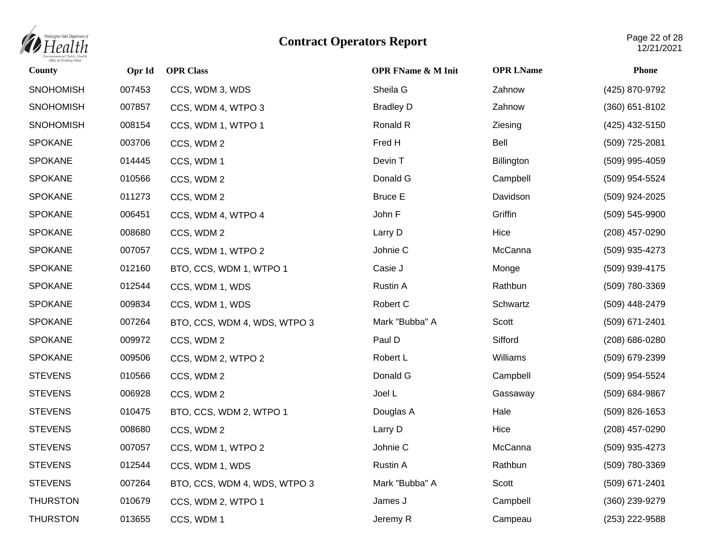

| County           | Opr Id | <b>OPR Class</b>             | <b>OPR FName &amp; M Init</b> | <b>OPR LName</b> | <b>Phone</b>   |
|------------------|--------|------------------------------|-------------------------------|------------------|----------------|
| <b>SNOHOMISH</b> | 007453 | CCS, WDM 3, WDS              | Sheila G                      | Zahnow           | (425) 870-9792 |
| <b>SNOHOMISH</b> | 007857 | CCS, WDM 4, WTPO 3           | <b>Bradley D</b>              | Zahnow           | (360) 651-8102 |
| <b>SNOHOMISH</b> | 008154 | CCS, WDM 1, WTPO 1           | Ronald R                      | Ziesing          | (425) 432-5150 |
| <b>SPOKANE</b>   | 003706 | CCS, WDM 2                   | Fred H                        | Bell             | (509) 725-2081 |
| <b>SPOKANE</b>   | 014445 | CCS, WDM 1                   | Devin T                       | Billington       | (509) 995-4059 |
| <b>SPOKANE</b>   | 010566 | CCS, WDM 2                   | Donald G                      | Campbell         | (509) 954-5524 |
| <b>SPOKANE</b>   | 011273 | CCS, WDM 2                   | <b>Bruce E</b>                | Davidson         | (509) 924-2025 |
| <b>SPOKANE</b>   | 006451 | CCS, WDM 4, WTPO 4           | John F                        | Griffin          | (509) 545-9900 |
| <b>SPOKANE</b>   | 008680 | CCS, WDM 2                   | Larry D                       | Hice             | (208) 457-0290 |
| <b>SPOKANE</b>   | 007057 | CCS, WDM 1, WTPO 2           | Johnie C                      | McCanna          | (509) 935-4273 |
| <b>SPOKANE</b>   | 012160 | BTO, CCS, WDM 1, WTPO 1      | Casie J                       | Monge            | (509) 939-4175 |
| <b>SPOKANE</b>   | 012544 | CCS, WDM 1, WDS              | Rustin A                      | Rathbun          | (509) 780-3369 |
| <b>SPOKANE</b>   | 009834 | CCS, WDM 1, WDS              | Robert C                      | Schwartz         | (509) 448-2479 |
| <b>SPOKANE</b>   | 007264 | BTO, CCS, WDM 4, WDS, WTPO 3 | Mark "Bubba" A                | Scott            | (509) 671-2401 |
| <b>SPOKANE</b>   | 009972 | CCS, WDM 2                   | Paul D                        | Sifford          | (208) 686-0280 |
| <b>SPOKANE</b>   | 009506 | CCS, WDM 2, WTPO 2           | Robert L                      | Williams         | (509) 679-2399 |
| <b>STEVENS</b>   | 010566 | CCS, WDM 2                   | Donald G                      | Campbell         | (509) 954-5524 |
| <b>STEVENS</b>   | 006928 | CCS, WDM 2                   | Joel L                        | Gassaway         | (509) 684-9867 |
| <b>STEVENS</b>   | 010475 | BTO, CCS, WDM 2, WTPO 1      | Douglas A                     | Hale             | (509) 826-1653 |
| <b>STEVENS</b>   | 008680 | CCS, WDM 2                   | Larry D                       | Hice             | (208) 457-0290 |
| <b>STEVENS</b>   | 007057 | CCS, WDM 1, WTPO 2           | Johnie C                      | McCanna          | (509) 935-4273 |
| <b>STEVENS</b>   | 012544 | CCS, WDM 1, WDS              | Rustin A                      | Rathbun          | (509) 780-3369 |
| <b>STEVENS</b>   | 007264 | BTO, CCS, WDM 4, WDS, WTPO 3 | Mark "Bubba" A                | Scott            | (509) 671-2401 |
| <b>THURSTON</b>  | 010679 | CCS, WDM 2, WTPO 1           | James J                       | Campbell         | (360) 239-9279 |
| <b>THURSTON</b>  | 013655 | CCS, WDM 1                   | Jeremy R                      | Campeau          | (253) 222-9588 |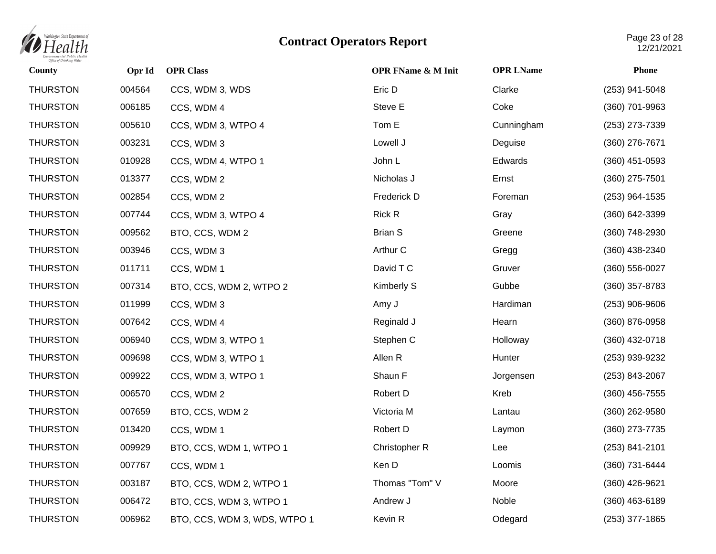

| County          | Opr Id | <b>OPR Class</b>             | <b>OPR FName &amp; M Init</b> | <b>OPR LName</b> | <b>Phone</b>     |
|-----------------|--------|------------------------------|-------------------------------|------------------|------------------|
| <b>THURSTON</b> | 004564 | CCS, WDM 3, WDS              | Eric D                        | Clarke           | (253) 941-5048   |
| <b>THURSTON</b> | 006185 | CCS, WDM 4                   | Steve E                       | Coke             | (360) 701-9963   |
| <b>THURSTON</b> | 005610 | CCS, WDM 3, WTPO 4           | Tom E                         | Cunningham       | (253) 273-7339   |
| <b>THURSTON</b> | 003231 | CCS, WDM 3                   | Lowell J                      | Deguise          | (360) 276-7671   |
| <b>THURSTON</b> | 010928 | CCS, WDM 4, WTPO 1           | John L                        | Edwards          | (360) 451-0593   |
| <b>THURSTON</b> | 013377 | CCS, WDM 2                   | Nicholas J                    | Ernst            | (360) 275-7501   |
| <b>THURSTON</b> | 002854 | CCS, WDM 2                   | Frederick D                   | Foreman          | (253) 964-1535   |
| <b>THURSTON</b> | 007744 | CCS, WDM 3, WTPO 4           | <b>Rick R</b>                 | Gray             | (360) 642-3399   |
| <b>THURSTON</b> | 009562 | BTO, CCS, WDM 2              | <b>Brian S</b>                | Greene           | (360) 748-2930   |
| <b>THURSTON</b> | 003946 | CCS, WDM 3                   | Arthur C                      | Gregg            | (360) 438-2340   |
| <b>THURSTON</b> | 011711 | CCS, WDM 1                   | David T C                     | Gruver           | (360) 556-0027   |
| <b>THURSTON</b> | 007314 | BTO, CCS, WDM 2, WTPO 2      | Kimberly S                    | Gubbe            | $(360)$ 357-8783 |
| <b>THURSTON</b> | 011999 | CCS, WDM 3                   | Amy J                         | Hardiman         | $(253)$ 906-9606 |
| <b>THURSTON</b> | 007642 | CCS, WDM 4                   | Reginald J                    | Hearn            | (360) 876-0958   |
| <b>THURSTON</b> | 006940 | CCS, WDM 3, WTPO 1           | Stephen C                     | Holloway         | (360) 432-0718   |
| <b>THURSTON</b> | 009698 | CCS, WDM 3, WTPO 1           | Allen R                       | Hunter           | (253) 939-9232   |
| <b>THURSTON</b> | 009922 | CCS, WDM 3, WTPO 1           | Shaun F                       | Jorgensen        | (253) 843-2067   |
| <b>THURSTON</b> | 006570 | CCS, WDM 2                   | Robert D                      | Kreb             | $(360)$ 456-7555 |
| <b>THURSTON</b> | 007659 | BTO, CCS, WDM 2              | Victoria M                    | Lantau           | (360) 262-9580   |
| <b>THURSTON</b> | 013420 | CCS, WDM 1                   | Robert D                      | Laymon           | (360) 273-7735   |
| <b>THURSTON</b> | 009929 | BTO, CCS, WDM 1, WTPO 1      | Christopher R                 | Lee              | (253) 841-2101   |
| <b>THURSTON</b> | 007767 | CCS, WDM 1                   | Ken D                         | Loomis           | (360) 731-6444   |
| <b>THURSTON</b> | 003187 | BTO, CCS, WDM 2, WTPO 1      | Thomas "Tom" V                | Moore            | (360) 426-9621   |
| <b>THURSTON</b> | 006472 | BTO, CCS, WDM 3, WTPO 1      | Andrew J                      | Noble            | $(360)$ 463-6189 |
| <b>THURSTON</b> | 006962 | BTO, CCS, WDM 3, WDS, WTPO 1 | Kevin R                       | Odegard          | (253) 377-1865   |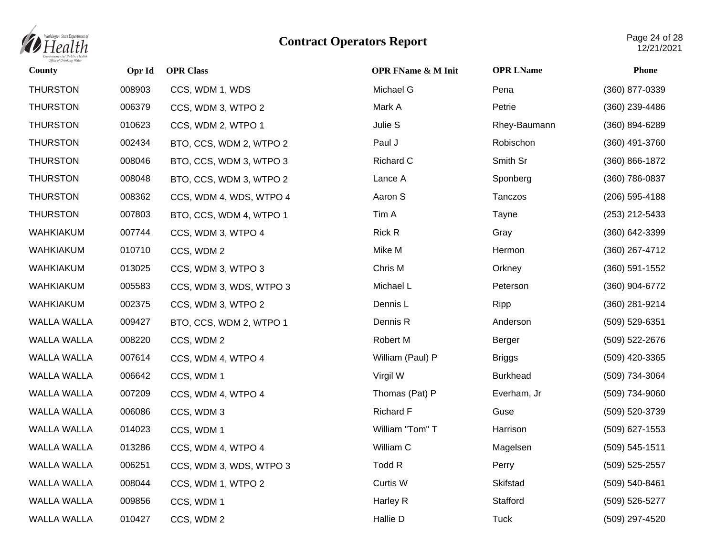

| County             | Opr Id | <b>OPR Class</b>        | <b>OPR FName &amp; M Init</b> | <b>OPR LName</b> | <b>Phone</b>       |
|--------------------|--------|-------------------------|-------------------------------|------------------|--------------------|
| <b>THURSTON</b>    | 008903 | CCS, WDM 1, WDS         | Michael G                     | Pena             | (360) 877-0339     |
| <b>THURSTON</b>    | 006379 | CCS, WDM 3, WTPO 2      | Mark A                        | Petrie           | (360) 239-4486     |
| <b>THURSTON</b>    | 010623 | CCS, WDM 2, WTPO 1      | Julie S                       | Rhey-Baumann     | $(360) 894 - 6289$ |
| <b>THURSTON</b>    | 002434 | BTO, CCS, WDM 2, WTPO 2 | Paul J                        | Robischon        | (360) 491-3760     |
| <b>THURSTON</b>    | 008046 | BTO, CCS, WDM 3, WTPO 3 | Richard C                     | Smith Sr         | (360) 866-1872     |
| <b>THURSTON</b>    | 008048 | BTO, CCS, WDM 3, WTPO 2 | Lance A                       | Sponberg         | (360) 786-0837     |
| <b>THURSTON</b>    | 008362 | CCS, WDM 4, WDS, WTPO 4 | Aaron S                       | Tanczos          | (206) 595-4188     |
| <b>THURSTON</b>    | 007803 | BTO, CCS, WDM 4, WTPO 1 | Tim A                         | Tayne            | (253) 212-5433     |
| <b>WAHKIAKUM</b>   | 007744 | CCS, WDM 3, WTPO 4      | Rick R                        | Gray             | (360) 642-3399     |
| WAHKIAKUM          | 010710 | CCS, WDM 2              | Mike M                        | Hermon           | (360) 267-4712     |
| WAHKIAKUM          | 013025 | CCS, WDM 3, WTPO 3      | Chris M                       | Orkney           | $(360) 591 - 1552$ |
| <b>WAHKIAKUM</b>   | 005583 | CCS, WDM 3, WDS, WTPO 3 | Michael L                     | Peterson         | (360) 904-6772     |
| WAHKIAKUM          | 002375 | CCS, WDM 3, WTPO 2      | Dennis L                      | Ripp             | (360) 281-9214     |
| <b>WALLA WALLA</b> | 009427 | BTO, CCS, WDM 2, WTPO 1 | Dennis R                      | Anderson         | (509) 529-6351     |
| <b>WALLA WALLA</b> | 008220 | CCS, WDM 2              | Robert M                      | Berger           | (509) 522-2676     |
| WALLA WALLA        | 007614 | CCS, WDM 4, WTPO 4      | William (Paul) P              | <b>Briggs</b>    | (509) 420-3365     |
| <b>WALLA WALLA</b> | 006642 | CCS, WDM 1              | Virgil W                      | <b>Burkhead</b>  | (509) 734-3064     |
| WALLA WALLA        | 007209 | CCS, WDM 4, WTPO 4      | Thomas (Pat) P                | Everham, Jr      | (509) 734-9060     |
| <b>WALLA WALLA</b> | 006086 | CCS, WDM 3              | <b>Richard F</b>              | Guse             | (509) 520-3739     |
| <b>WALLA WALLA</b> | 014023 | CCS, WDM 1              | William "Tom" T               | Harrison         | (509) 627-1553     |
| WALLA WALLA        | 013286 | CCS, WDM 4, WTPO 4      | William C                     | Magelsen         | $(509) 545 - 1511$ |
| <b>WALLA WALLA</b> | 006251 | CCS, WDM 3, WDS, WTPO 3 | Todd R                        | Perry            | (509) 525-2557     |
| <b>WALLA WALLA</b> | 008044 | CCS, WDM 1, WTPO 2      | Curtis W                      | Skifstad         | (509) 540-8461     |
| <b>WALLA WALLA</b> | 009856 | CCS, WDM 1              | Harley R                      | Stafford         | (509) 526-5277     |
| <b>WALLA WALLA</b> | 010427 | CCS, WDM 2              | Hallie D                      | <b>Tuck</b>      | (509) 297-4520     |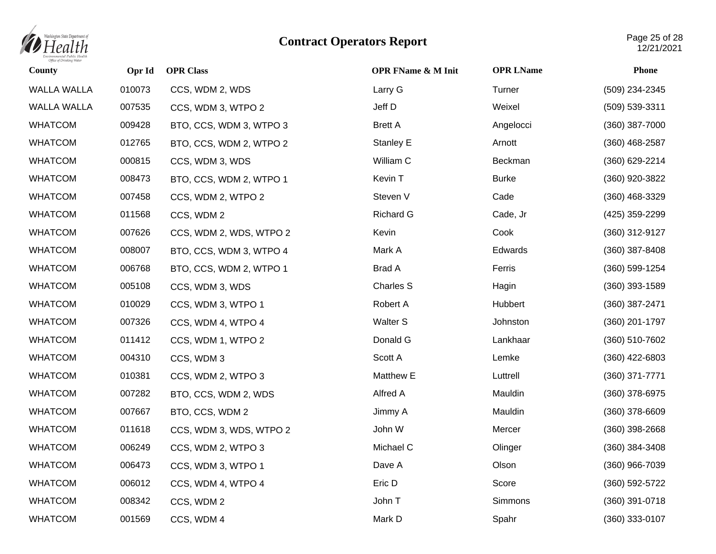

| County             | Opr Id | <b>OPR Class</b>        | <b>OPR FName &amp; M Init</b> | <b>OPR LName</b> | Phone            |
|--------------------|--------|-------------------------|-------------------------------|------------------|------------------|
| <b>WALLA WALLA</b> | 010073 | CCS, WDM 2, WDS         | Larry G                       | Turner           | (509) 234-2345   |
| WALLA WALLA        | 007535 | CCS, WDM 3, WTPO 2      | Jeff D                        | Weixel           | (509) 539-3311   |
| <b>WHATCOM</b>     | 009428 | BTO, CCS, WDM 3, WTPO 3 | <b>Brett A</b>                | Angelocci        | $(360)$ 387-7000 |
| <b>WHATCOM</b>     | 012765 | BTO, CCS, WDM 2, WTPO 2 | <b>Stanley E</b>              | Arnott           | (360) 468-2587   |
| <b>WHATCOM</b>     | 000815 | CCS, WDM 3, WDS         | William C                     | Beckman          | (360) 629-2214   |
| <b>WHATCOM</b>     | 008473 | BTO, CCS, WDM 2, WTPO 1 | Kevin T                       | <b>Burke</b>     | (360) 920-3822   |
| <b>WHATCOM</b>     | 007458 | CCS, WDM 2, WTPO 2      | Steven V                      | Cade             | (360) 468-3329   |
| <b>WHATCOM</b>     | 011568 | CCS, WDM 2              | <b>Richard G</b>              | Cade, Jr         | (425) 359-2299   |
| <b>WHATCOM</b>     | 007626 | CCS, WDM 2, WDS, WTPO 2 | Kevin                         | Cook             | (360) 312-9127   |
| <b>WHATCOM</b>     | 008007 | BTO, CCS, WDM 3, WTPO 4 | Mark A                        | Edwards          | (360) 387-8408   |
| <b>WHATCOM</b>     | 006768 | BTO, CCS, WDM 2, WTPO 1 | <b>Brad A</b>                 | Ferris           | (360) 599-1254   |
| <b>WHATCOM</b>     | 005108 | CCS, WDM 3, WDS         | <b>Charles S</b>              | Hagin            | $(360)$ 393-1589 |
| <b>WHATCOM</b>     | 010029 | CCS, WDM 3, WTPO 1      | Robert A                      | Hubbert          | (360) 387-2471   |
| <b>WHATCOM</b>     | 007326 | CCS, WDM 4, WTPO 4      | Walter S                      | Johnston         | (360) 201-1797   |
| <b>WHATCOM</b>     | 011412 | CCS, WDM 1, WTPO 2      | Donald G                      | Lankhaar         | (360) 510-7602   |
| <b>WHATCOM</b>     | 004310 | CCS, WDM 3              | Scott A                       | Lemke            | (360) 422-6803   |
| <b>WHATCOM</b>     | 010381 | CCS, WDM 2, WTPO 3      | Matthew E                     | Luttrell         | $(360)$ 371-7771 |
| <b>WHATCOM</b>     | 007282 | BTO, CCS, WDM 2, WDS    | Alfred A                      | Mauldin          | (360) 378-6975   |
| <b>WHATCOM</b>     | 007667 | BTO, CCS, WDM 2         | Jimmy A                       | Mauldin          | (360) 378-6609   |
| <b>WHATCOM</b>     | 011618 | CCS, WDM 3, WDS, WTPO 2 | John W                        | Mercer           | $(360)$ 398-2668 |
| <b>WHATCOM</b>     | 006249 | CCS, WDM 2, WTPO 3      | Michael C                     | Olinger          | $(360)$ 384-3408 |
| <b>WHATCOM</b>     | 006473 | CCS, WDM 3, WTPO 1      | Dave A                        | Olson            | (360) 966-7039   |
| <b>WHATCOM</b>     | 006012 | CCS, WDM 4, WTPO 4      | Eric D                        | Score            | (360) 592-5722   |
| <b>WHATCOM</b>     | 008342 | CCS, WDM 2              | John T                        | <b>Simmons</b>   | (360) 391-0718   |
| <b>WHATCOM</b>     | 001569 | CCS, WDM 4              | Mark D                        | Spahr            | (360) 333-0107   |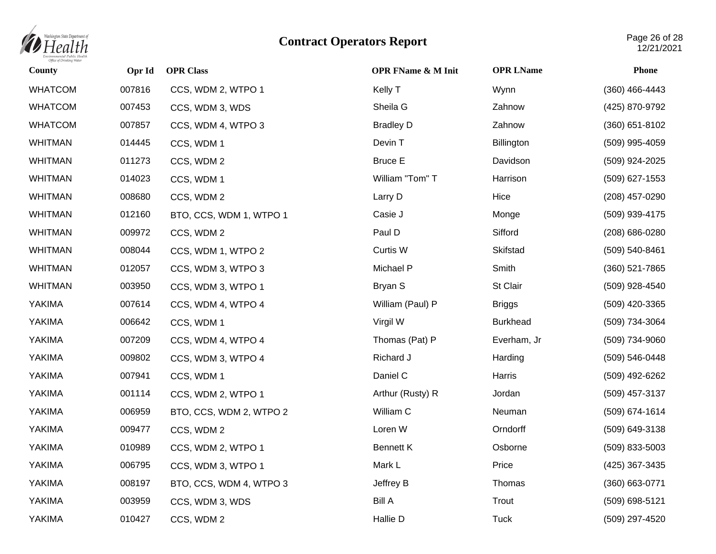

| <b>County</b>  | Opr Id | <b>OPR Class</b>        | <b>OPR FName &amp; M Init</b> | <b>OPR LName</b> | <b>Phone</b>     |
|----------------|--------|-------------------------|-------------------------------|------------------|------------------|
| <b>WHATCOM</b> | 007816 | CCS, WDM 2, WTPO 1      | Kelly T                       | Wynn             | (360) 466-4443   |
| <b>WHATCOM</b> | 007453 | CCS, WDM 3, WDS         | Sheila G                      | Zahnow           | (425) 870-9792   |
| <b>WHATCOM</b> | 007857 | CCS, WDM 4, WTPO 3      | <b>Bradley D</b>              | Zahnow           | $(360)$ 651-8102 |
| <b>WHITMAN</b> | 014445 | CCS, WDM 1              | Devin T                       | Billington       | (509) 995-4059   |
| <b>WHITMAN</b> | 011273 | CCS, WDM 2              | <b>Bruce E</b>                | Davidson         | (509) 924-2025   |
| <b>WHITMAN</b> | 014023 | CCS, WDM 1              | William "Tom" T               | Harrison         | (509) 627-1553   |
| <b>WHITMAN</b> | 008680 | CCS, WDM 2              | Larry D                       | Hice             | (208) 457-0290   |
| <b>WHITMAN</b> | 012160 | BTO, CCS, WDM 1, WTPO 1 | Casie J                       | Monge            | (509) 939-4175   |
| <b>WHITMAN</b> | 009972 | CCS, WDM 2              | Paul D                        | Sifford          | (208) 686-0280   |
| <b>WHITMAN</b> | 008044 | CCS, WDM 1, WTPO 2      | Curtis W                      | Skifstad         | (509) 540-8461   |
| <b>WHITMAN</b> | 012057 | CCS, WDM 3, WTPO 3      | Michael P                     | Smith            | (360) 521-7865   |
| <b>WHITMAN</b> | 003950 | CCS, WDM 3, WTPO 1      | Bryan S                       | St Clair         | (509) 928-4540   |
| YAKIMA         | 007614 | CCS, WDM 4, WTPO 4      | William (Paul) P              | <b>Briggs</b>    | (509) 420-3365   |
| YAKIMA         | 006642 | CCS, WDM 1              | Virgil W                      | <b>Burkhead</b>  | (509) 734-3064   |
| YAKIMA         | 007209 | CCS, WDM 4, WTPO 4      | Thomas (Pat) P                | Everham, Jr      | (509) 734-9060   |
| YAKIMA         | 009802 | CCS, WDM 3, WTPO 4      | Richard J                     | Harding          | (509) 546-0448   |
| YAKIMA         | 007941 | CCS, WDM 1              | Daniel C                      | Harris           | (509) 492-6262   |
| YAKIMA         | 001114 | CCS, WDM 2, WTPO 1      | Arthur (Rusty) R              | Jordan           | (509) 457-3137   |
| YAKIMA         | 006959 | BTO, CCS, WDM 2, WTPO 2 | William C                     | Neuman           | (509) 674-1614   |
| YAKIMA         | 009477 | CCS, WDM 2              | Loren W                       | Orndorff         | (509) 649-3138   |
| YAKIMA         | 010989 | CCS, WDM 2, WTPO 1      | <b>Bennett K</b>              | Osborne          | $(509)$ 833-5003 |
| YAKIMA         | 006795 | CCS, WDM 3, WTPO 1      | Mark L                        | Price            | (425) 367-3435   |
| YAKIMA         | 008197 | BTO, CCS, WDM 4, WTPO 3 | Jeffrey B                     | Thomas           | (360) 663-0771   |
| YAKIMA         | 003959 | CCS, WDM 3, WDS         | <b>Bill A</b>                 | Trout            | (509) 698-5121   |
| YAKIMA         | 010427 | CCS, WDM 2              | Hallie D                      | <b>Tuck</b>      | (509) 297-4520   |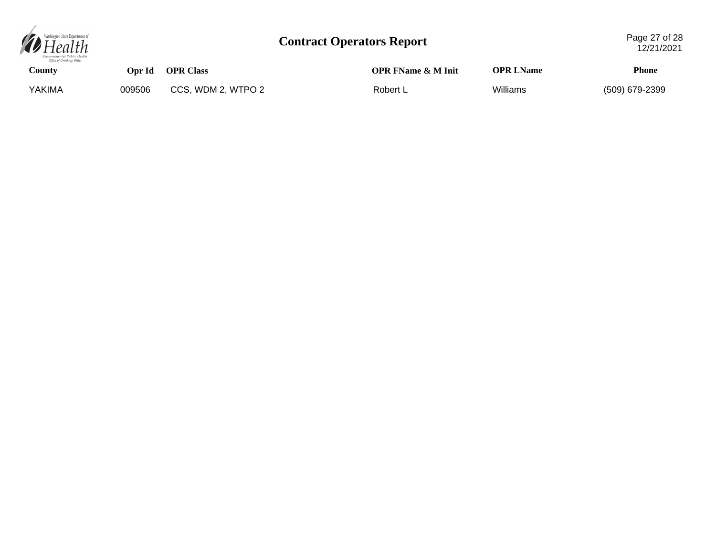

| County |        | Opr Id OPR Class   | <b>OPR FName &amp; M Init</b> | <b>OPR LName</b> | Phone          |
|--------|--------|--------------------|-------------------------------|------------------|----------------|
| YAKIMA | 009506 | CCS, WDM 2, WTPO 2 | Robert L                      | Williams         | (509) 679-2399 |